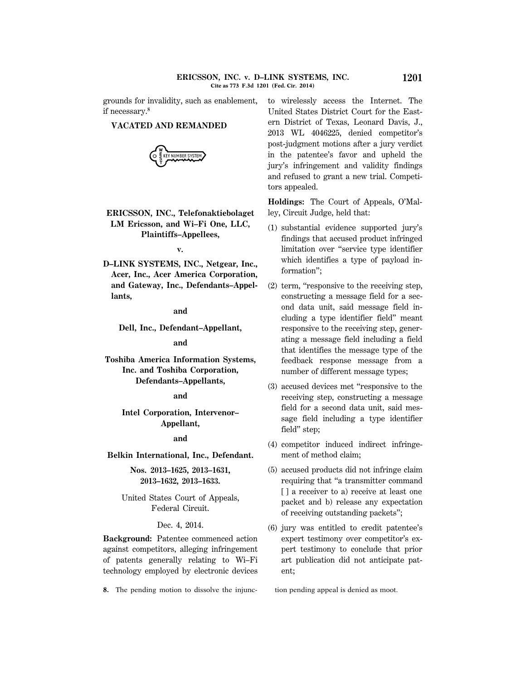grounds for invalidity, such as enablement, if necessary.**<sup>8</sup>**

### **VACATED AND REMANDED**



## **ERICSSON, INC., Telefonaktiebolaget LM Ericsson, and Wi–Fi One, LLC, Plaintiffs–Appellees,**

**v.**

**D–LINK SYSTEMS, INC., Netgear, Inc., Acer, Inc., Acer America Corporation, and Gateway, Inc., Defendants–Appellants,**

**and**

**Dell, Inc., Defendant–Appellant,**

**and**

**Toshiba America Information Systems, Inc. and Toshiba Corporation, Defendants–Appellants,**

**and**

## **Intel Corporation, Intervenor– Appellant,**

**and**

#### **Belkin International, Inc., Defendant.**

## **Nos. 2013–1625, 2013–1631, 2013–1632, 2013–1633.**

United States Court of Appeals, Federal Circuit.

Dec. 4, 2014.

**Background:** Patentee commenced action against competitors, alleging infringement of patents generally relating to Wi–Fi technology employed by electronic devices

**8.** The pending motion to dissolve the injunc- tion pending appeal is denied as moot.

to wirelessly access the Internet. The United States District Court for the Eastern District of Texas, Leonard Davis, J., 2013 WL 4046225, denied competitor's post-judgment motions after a jury verdict in the patentee's favor and upheld the jury's infringement and validity findings and refused to grant a new trial. Competitors appealed.

**Holdings:** The Court of Appeals, O'Malley, Circuit Judge, held that:

- (1) substantial evidence supported jury's findings that accused product infringed limitation over ''service type identifier which identifies a type of payload information'';
- (2) term, ''responsive to the receiving step, constructing a message field for a second data unit, said message field including a type identifier field'' meant responsive to the receiving step, generating a message field including a field that identifies the message type of the feedback response message from a number of different message types;
- (3) accused devices met ''responsive to the receiving step, constructing a message field for a second data unit, said message field including a type identifier field'' step;
- (4) competitor induced indirect infringement of method claim;
- (5) accused products did not infringe claim requiring that ''a transmitter command [ ] a receiver to a) receive at least one packet and b) release any expectation of receiving outstanding packets'';
- (6) jury was entitled to credit patentee's expert testimony over competitor's expert testimony to conclude that prior art publication did not anticipate patent;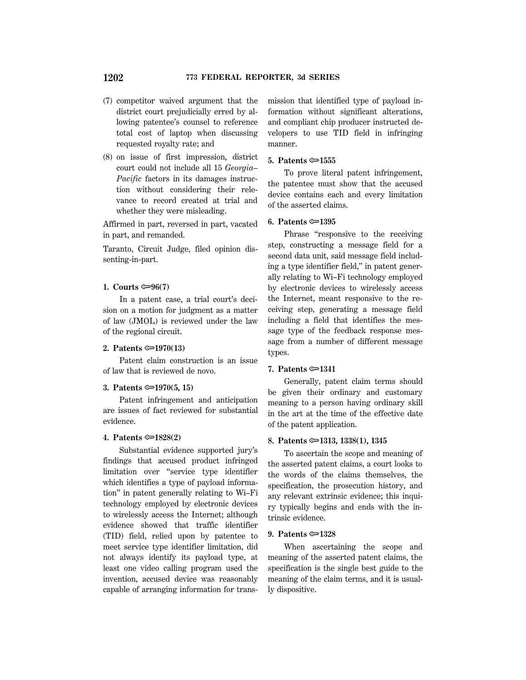- (7) competitor waived argument that the district court prejudicially erred by allowing patentee's counsel to reference total cost of laptop when discussing requested royalty rate; and
- (8) on issue of first impression, district court could not include all 15 *Georgia– Pacific* factors in its damages instruction without considering their relevance to record created at trial and whether they were misleading.

Affirmed in part, reversed in part, vacated in part, and remanded.

Taranto, Circuit Judge, filed opinion dissenting-in-part.

#### 1. Courts  $\mathfrak{S}96(7)$

In a patent case, a trial court's decision on a motion for judgment as a matter of law (JMOL) is reviewed under the law of the regional circuit.

#### **2. Patents** O**1970(13)**

Patent claim construction is an issue of law that is reviewed de novo.

#### **3. Patents** O**1970(5, 15)**

Patent infringement and anticipation are issues of fact reviewed for substantial evidence.

## **4. Patents** O**1828(2)**

Substantial evidence supported jury's findings that accused product infringed limitation over ''service type identifier which identifies a type of payload information'' in patent generally relating to Wi–Fi technology employed by electronic devices to wirelessly access the Internet; although evidence showed that traffic identifier (TID) field, relied upon by patentee to meet service type identifier limitation, did not always identify its payload type, at least one video calling program used the invention, accused device was reasonably capable of arranging information for transmission that identified type of payload information without significant alterations, and compliant chip producer instructed developers to use TID field in infringing manner.

#### **5. Patents** O**1555**

To prove literal patent infringement, the patentee must show that the accused device contains each and every limitation of the asserted claims.

#### **6. Patents** O**1395**

Phrase "responsive to the receiving" step, constructing a message field for a second data unit, said message field including a type identifier field,'' in patent generally relating to Wi–Fi technology employed by electronic devices to wirelessly access the Internet, meant responsive to the receiving step, generating a message field including a field that identifies the message type of the feedback response message from a number of different message types.

#### **7. Patents** O**1341**

Generally, patent claim terms should be given their ordinary and customary meaning to a person having ordinary skill in the art at the time of the effective date of the patent application.

#### **8. Patents ∞1313, 1338(1), 1345**

To ascertain the scope and meaning of the asserted patent claims, a court looks to the words of the claims themselves, the specification, the prosecution history, and any relevant extrinsic evidence; this inquiry typically begins and ends with the intrinsic evidence.

#### **9. Patents** O**1328**

When ascertaining the scope and meaning of the asserted patent claims, the specification is the single best guide to the meaning of the claim terms, and it is usually dispositive.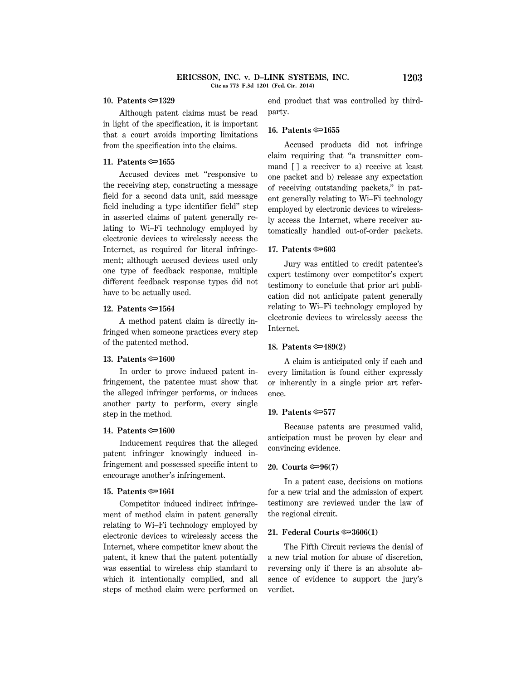#### **10. Patents** O**1329**

Although patent claims must be read in light of the specification, it is important that a court avoids importing limitations from the specification into the claims.

## **11. Patents**  $\approx 1655$

Accused devices met ''responsive to the receiving step, constructing a message field for a second data unit, said message field including a type identifier field'' step in asserted claims of patent generally relating to Wi–Fi technology employed by electronic devices to wirelessly access the Internet, as required for literal infringement; although accused devices used only one type of feedback response, multiple different feedback response types did not have to be actually used.

#### **12. Patents** O**1564**

A method patent claim is directly infringed when someone practices every step of the patented method.

## **13. Patents**  $\approx 1600$

In order to prove induced patent infringement, the patentee must show that the alleged infringer performs, or induces another party to perform, every single step in the method.

#### **14. Patents**  $\approx 1600$

Inducement requires that the alleged patent infringer knowingly induced infringement and possessed specific intent to encourage another's infringement.

#### **15. Patents**  $\approx 1661$

Competitor induced indirect infringement of method claim in patent generally relating to Wi–Fi technology employed by electronic devices to wirelessly access the Internet, where competitor knew about the patent, it knew that the patent potentially was essential to wireless chip standard to which it intentionally complied, and all steps of method claim were performed on

end product that was controlled by thirdparty.

#### **16. Patents ⊗**1655

Accused products did not infringe claim requiring that ''a transmitter command [ ] a receiver to a) receive at least one packet and b) release any expectation of receiving outstanding packets,'' in patent generally relating to Wi–Fi technology employed by electronic devices to wirelessly access the Internet, where receiver automatically handled out-of-order packets.

## **17. Patents**  $\approx 603$

Jury was entitled to credit patentee's expert testimony over competitor's expert testimony to conclude that prior art publication did not anticipate patent generally relating to Wi–Fi technology employed by electronic devices to wirelessly access the Internet.

#### **18. Patents**  $\mathfrak{S}$  **489(2)**

A claim is anticipated only if each and every limitation is found either expressly or inherently in a single prior art reference.

#### **19. Patents** O**577**

Because patents are presumed valid, anticipation must be proven by clear and convincing evidence.

#### **20. Courts**  $\mathfrak{S}96(7)$

In a patent case, decisions on motions for a new trial and the admission of expert testimony are reviewed under the law of the regional circuit.

#### **21. Federal Courts**  $\approx 3606(1)$

The Fifth Circuit reviews the denial of a new trial motion for abuse of discretion, reversing only if there is an absolute absence of evidence to support the jury's verdict.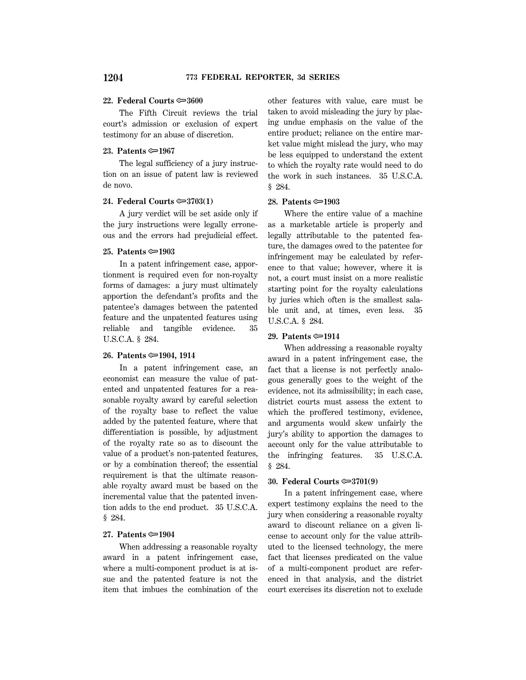#### **22. Federal Courts**  $\approx 3600$

The Fifth Circuit reviews the trial court's admission or exclusion of expert testimony for an abuse of discretion.

#### **23. Patents** O**1967**

The legal sufficiency of a jury instruction on an issue of patent law is reviewed de novo.

#### **24. Federal Courts**  $\approx 3703(1)$

A jury verdict will be set aside only if the jury instructions were legally erroneous and the errors had prejudicial effect.

#### **25. Patents** O**1903**

In a patent infringement case, apportionment is required even for non-royalty forms of damages: a jury must ultimately apportion the defendant's profits and the patentee's damages between the patented feature and the unpatented features using reliable and tangible evidence. 35 U.S.C.A. § 284.

#### **26. Patents** O**1904, 1914**

In a patent infringement case, an economist can measure the value of patented and unpatented features for a reasonable royalty award by careful selection of the royalty base to reflect the value added by the patented feature, where that differentiation is possible, by adjustment of the royalty rate so as to discount the value of a product's non-patented features, or by a combination thereof; the essential requirement is that the ultimate reasonable royalty award must be based on the incremental value that the patented invention adds to the end product. 35 U.S.C.A. § 284.

#### **27. Patents**  $\approx 1904$

When addressing a reasonable royalty award in a patent infringement case, where a multi-component product is at issue and the patented feature is not the item that imbues the combination of the

other features with value, care must be taken to avoid misleading the jury by placing undue emphasis on the value of the entire product; reliance on the entire market value might mislead the jury, who may be less equipped to understand the extent to which the royalty rate would need to do the work in such instances. 35 U.S.C.A. § 284.

#### **28. Patents** O**1903**

Where the entire value of a machine as a marketable article is properly and legally attributable to the patented feature, the damages owed to the patentee for infringement may be calculated by reference to that value; however, where it is not, a court must insist on a more realistic starting point for the royalty calculations by juries which often is the smallest salable unit and, at times, even less. 35 U.S.C.A. § 284.

#### **29. Patents** O**1914**

When addressing a reasonable royalty award in a patent infringement case, the fact that a license is not perfectly analogous generally goes to the weight of the evidence, not its admissibility; in each case, district courts must assess the extent to which the proffered testimony, evidence, and arguments would skew unfairly the jury's ability to apportion the damages to account only for the value attributable to the infringing features. 35 U.S.C.A. § 284.

## **30. Federal Courts**  $\approx 3701(9)$

In a patent infringement case, where expert testimony explains the need to the jury when considering a reasonable royalty award to discount reliance on a given license to account only for the value attributed to the licensed technology, the mere fact that licenses predicated on the value of a multi-component product are referenced in that analysis, and the district court exercises its discretion not to exclude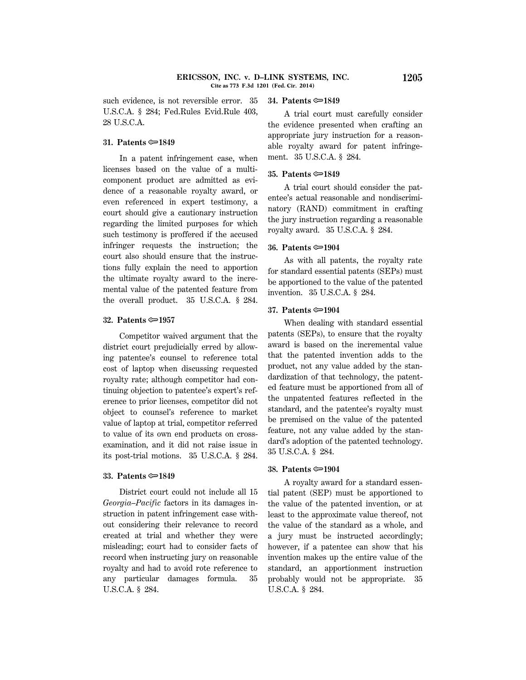such evidence, is not reversible error. 35 U.S.C.A. § 284; Fed.Rules Evid.Rule 403, 28 U.S.C.A.

#### **31. Patents** O**1849**

In a patent infringement case, when licenses based on the value of a multicomponent product are admitted as evidence of a reasonable royalty award, or even referenced in expert testimony, a court should give a cautionary instruction regarding the limited purposes for which such testimony is proffered if the accused infringer requests the instruction; the court also should ensure that the instructions fully explain the need to apportion the ultimate royalty award to the incremental value of the patented feature from the overall product. 35 U.S.C.A. § 284.

## **32. Patents** O**1957**

Competitor waived argument that the district court prejudicially erred by allowing patentee's counsel to reference total cost of laptop when discussing requested royalty rate; although competitor had continuing objection to patentee's expert's reference to prior licenses, competitor did not object to counsel's reference to market value of laptop at trial, competitor referred to value of its own end products on crossexamination, and it did not raise issue in its post-trial motions. 35 U.S.C.A. § 284.

## **33. Patents** O**1849**

District court could not include all 15 *Georgia–Pacific* factors in its damages instruction in patent infringement case without considering their relevance to record created at trial and whether they were misleading; court had to consider facts of record when instructing jury on reasonable royalty and had to avoid rote reference to any particular damages formula. 35 U.S.C.A. § 284.

#### **34. Patents** O**1849**

A trial court must carefully consider the evidence presented when crafting an appropriate jury instruction for a reasonable royalty award for patent infringement. 35 U.S.C.A. § 284.

#### **35. Patents** O**1849**

A trial court should consider the patentee's actual reasonable and nondiscriminatory (RAND) commitment in crafting the jury instruction regarding a reasonable royalty award. 35 U.S.C.A. § 284.

#### **36. Patents** O**1904**

As with all patents, the royalty rate for standard essential patents (SEPs) must be apportioned to the value of the patented invention. 35 U.S.C.A. § 284.

## **37. Patents** O**1904**

When dealing with standard essential patents (SEPs), to ensure that the royalty award is based on the incremental value that the patented invention adds to the product, not any value added by the standardization of that technology, the patented feature must be apportioned from all of the unpatented features reflected in the standard, and the patentee's royalty must be premised on the value of the patented feature, not any value added by the standard's adoption of the patented technology. 35 U.S.C.A. § 284.

#### **38. Patents** O**1904**

A royalty award for a standard essential patent (SEP) must be apportioned to the value of the patented invention, or at least to the approximate value thereof, not the value of the standard as a whole, and a jury must be instructed accordingly; however, if a patentee can show that his invention makes up the entire value of the standard, an apportionment instruction probably would not be appropriate. 35 U.S.C.A. § 284.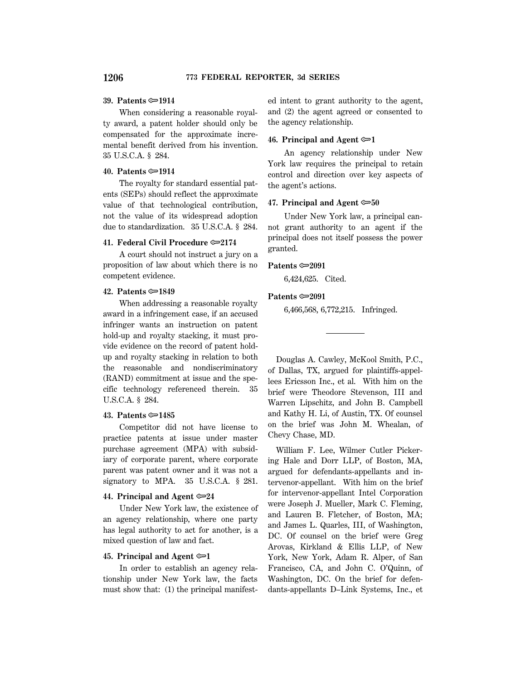#### **39. Patents** O**1914**

When considering a reasonable royalty award, a patent holder should only be compensated for the approximate incremental benefit derived from his invention. 35 U.S.C.A. § 284.

#### **40. Patents** O**1914**

The royalty for standard essential patents (SEPs) should reflect the approximate value of that technological contribution, not the value of its widespread adoption due to standardization. 35 U.S.C.A. § 284.

#### **41. Federal Civil Procedure**  $\approx 2174$

A court should not instruct a jury on a proposition of law about which there is no competent evidence.

#### **42. Patents** O**1849**

When addressing a reasonable royalty award in a infringement case, if an accused infringer wants an instruction on patent hold-up and royalty stacking, it must provide evidence on the record of patent holdup and royalty stacking in relation to both the reasonable and nondiscriminatory (RAND) commitment at issue and the specific technology referenced therein. 35 U.S.C.A. § 284.

## **43. Patents** O**1485**

Competitor did not have license to practice patents at issue under master purchase agreement (MPA) with subsidiary of corporate parent, where corporate parent was patent owner and it was not a signatory to MPA. 35 U.S.C.A. § 281.

#### **44. Principal and Agent** O**24**

Under New York law, the existence of an agency relationship, where one party has legal authority to act for another, is a mixed question of law and fact.

## **45. Principal and Agent**  $\approx 1$

In order to establish an agency relationship under New York law, the facts must show that: (1) the principal manifest-

ed intent to grant authority to the agent, and (2) the agent agreed or consented to the agency relationship.

#### **46. Principal and Agent** O**1**

An agency relationship under New York law requires the principal to retain control and direction over key aspects of the agent's actions.

#### **47. Principal and Agent**  $\approx 50$

Under New York law, a principal cannot grant authority to an agent if the principal does not itself possess the power granted.

#### **Patents**  $\approx 2091$

6,424,625. Cited.

#### **Patents**  $\approx 2091$

6,466,568, 6,772,215. Infringed.

Douglas A. Cawley, McKool Smith, P.C., of Dallas, TX, argued for plaintiffs-appellees Ericsson Inc., et al. With him on the brief were Theodore Stevenson, III and Warren Lipschitz, and John B. Campbell and Kathy H. Li, of Austin, TX. Of counsel on the brief was John M. Whealan, of Chevy Chase, MD.

William F. Lee, Wilmer Cutler Pickering Hale and Dorr LLP, of Boston, MA, argued for defendants-appellants and intervenor-appellant. With him on the brief for intervenor-appellant Intel Corporation were Joseph J. Mueller, Mark C. Fleming, and Lauren B. Fletcher, of Boston, MA; and James L. Quarles, III, of Washington, DC. Of counsel on the brief were Greg Arovas, Kirkland & Ellis LLP, of New York, New York, Adam R. Alper, of San Francisco, CA, and John C. O'Quinn, of Washington, DC. On the brief for defendants-appellants D–Link Systems, Inc., et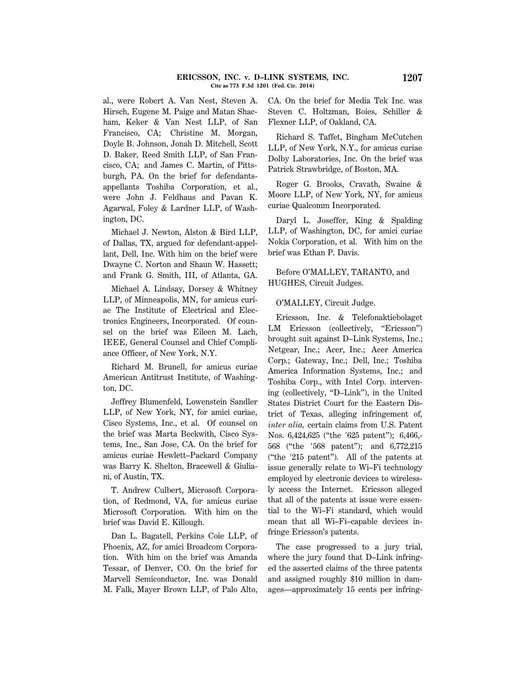#### **ERICSSON, INC. v. D–LINK SYSTEMS, INC. 1207 Cite as 773 F.3d 1201 (Fed. Cir. 2014)**

al., were Robert A. Van Nest, Steven A. Hirsch, Eugene M. Paige and Matan Shacham, Keker & Van Nest LLP, of San Francisco, CA; Christine M. Morgan, Doyle B. Johnson, Jonah D. Mitchell, Scott D. Baker, Reed Smith LLP, of San Francisco, CA; and James C. Martin, of Pittsburgh, PA. On the brief for defendantsappellants Toshiba Corporation, et al., were John J. Feldhaus and Pavan K. Agarwal, Foley & Lardner LLP, of Washington, DC.

Michael J. Newton, Alston & Bird LLP, of Dallas, TX, argued for defendant-appellant, Dell, Inc. With him on the brief were Dwayne C. Norton and Shaun W. Hassett; and Frank G. Smith, III, of Atlanta, GA.

Michael A. Lindsay, Dorsey & Whitney LLP, of Minneapolis, MN, for amicus curiae The Institute of Electrical and Electronics Engineers, Incorporated. Of counsel on the brief was Eileen M. Lach, IEEE, General Counsel and Chief Compliance Officer, of New York, N.Y.

Richard M. Brunell, for amicus curiae American Antitrust Institute, of Washington, DC.

Jeffrey Blumenfeld, Lowenstein Sandler LLP, of New York, NY, for amici curiae, Cisco Systems, Inc., et al. Of counsel on the brief was Marta Beckwith, Cisco Systems, Inc., San Jose, CA. On the brief for amicus curiae Hewlett–Packard Company was Barry K. Shelton, Bracewell & Giuliani, of Austin, TX.

T. Andrew Culbert, Microsoft Corporation, of Redmond, VA, for amicus curiae Microsoft Corporation. With him on the brief was David E. Killough.

Dan L. Bagatell, Perkins Coie LLP, of Phoenix, AZ, for amici Broadcom Corporation. With him on the brief was Amanda Tessar, of Denver, CO. On the brief for Marvell Semiconductor, Inc. was Donald M. Falk, Mayer Brown LLP, of Palo Alto, CA. On the brief for Media Tek Inc. was Steven C. Holtzman, Boies, Schiller & Flexner LLP, of Oakland, CA.

Richard S. Taffet, Bingham McCutchen LLP, of New York, N.Y., for amicus curiae Dolby Laboratories, Inc. On the brief was Patrick Strawbridge, of Boston, MA.

Roger G. Brooks, Cravath, Swaine & Moore LLP, of New York, NY, for amicus curiae Qualcomm Incorporated.

Daryl L. Joseffer, King & Spalding LLP, of Washington, DC, for amici curiae Nokia Corporation, et al. With him on the brief was Ethan P. Davis.

Before O'MALLEY, TARANTO, and HUGHES, Circuit Judges.

O'MALLEY, Circuit Judge.

Ericsson, Inc. & Telefonaktiebolaget LM Ericsson (collectively, ''Ericsson'') brought suit against D–Link Systems, Inc.; Netgear, Inc.; Acer, Inc.; Acer America Corp.; Gateway, Inc.; Dell, Inc.; Toshiba America Information Systems, Inc.; and Toshiba Corp., with Intel Corp. intervening (collectively, ''D–Link''), in the United States District Court for the Eastern District of Texas, alleging infringement of, *inter alia,* certain claims from U.S. Patent Nos. 6,424,625 ("the '625 patent"); 6,466,-568 ("the '568 patent"); and 6,772,215 ("the  $'215$  patent"). All of the patents at issue generally relate to Wi–Fi technology employed by electronic devices to wirelessly access the Internet. Ericsson alleged that all of the patents at issue were essential to the Wi–Fi standard, which would mean that all Wi–Fi–capable devices infringe Ericsson's patents.

The case progressed to a jury trial, where the jury found that D–Link infringed the asserted claims of the three patents and assigned roughly \$10 million in damages—approximately 15 cents per infring-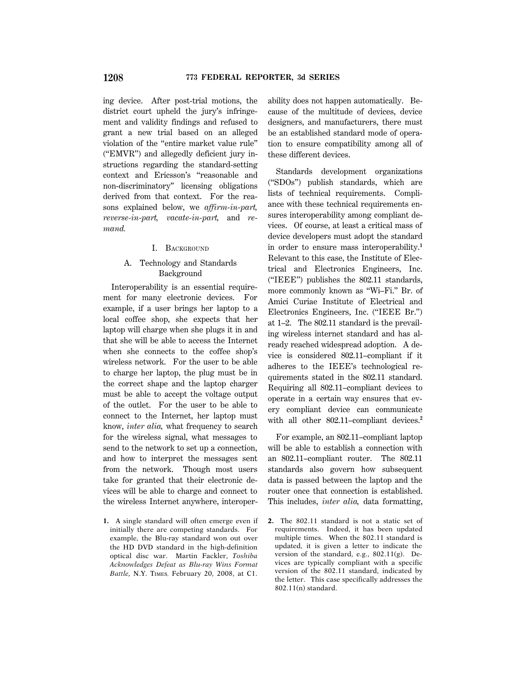ing device. After post-trial motions, the district court upheld the jury's infringement and validity findings and refused to grant a new trial based on an alleged violation of the ''entire market value rule'' (''EMVR'') and allegedly deficient jury instructions regarding the standard-setting context and Ericsson's ''reasonable and non-discriminatory'' licensing obligations derived from that context. For the reasons explained below, we *affirm-in-part, reverse-in-part, vacate-in-part,* and *remand.*

#### I. BACKGROUND

## A. Technology and Standards Background

Interoperability is an essential requirement for many electronic devices. For example, if a user brings her laptop to a local coffee shop, she expects that her laptop will charge when she plugs it in and that she will be able to access the Internet when she connects to the coffee shop's wireless network. For the user to be able to charge her laptop, the plug must be in the correct shape and the laptop charger must be able to accept the voltage output of the outlet. For the user to be able to connect to the Internet, her laptop must know, *inter alia,* what frequency to search for the wireless signal, what messages to send to the network to set up a connection, and how to interpret the messages sent from the network. Though most users take for granted that their electronic devices will be able to charge and connect to the wireless Internet anywhere, interoper-

**1.** A single standard will often emerge even if initially there are competing standards. For example, the Blu-ray standard won out over the HD DVD standard in the high-definition optical disc war. Martin Fackler, *Toshiba Acknowledges Defeat as Blu-ray Wins Format Battle,* N.Y. TIMES, February 20, 2008, at C1.

ability does not happen automatically. Because of the multitude of devices, device designers, and manufacturers, there must be an established standard mode of operation to ensure compatibility among all of these different devices.

Standards development organizations (''SDOs'') publish standards, which are lists of technical requirements. Compliance with these technical requirements ensures interoperability among compliant devices. Of course, at least a critical mass of device developers must adopt the standard in order to ensure mass interoperability.**<sup>1</sup>** Relevant to this case, the Institute of Electrical and Electronics Engineers, Inc. (''IEEE'') publishes the 802.11 standards, more commonly known as ''Wi–Fi.'' Br. of Amici Curiae Institute of Electrical and Electronics Engineers, Inc. (''IEEE Br.'') at 1–2. The 802.11 standard is the prevailing wireless internet standard and has already reached widespread adoption. A device is considered 802.11–compliant if it adheres to the IEEE's technological requirements stated in the 802.11 standard. Requiring all 802.11–compliant devices to operate in a certain way ensures that every compliant device can communicate with all other 802.11–compliant devices.**<sup>2</sup>**

For example, an 802.11–compliant laptop will be able to establish a connection with an 802.11–compliant router. The 802.11 standards also govern how subsequent data is passed between the laptop and the router once that connection is established. This includes, *inter alia,* data formatting,

**<sup>2.</sup>** The 802.11 standard is not a static set of requirements. Indeed, it has been updated multiple times. When the 802.11 standard is updated, it is given a letter to indicate the version of the standard, e.g., 802.11(g). Devices are typically compliant with a specific version of the 802.11 standard, indicated by the letter. This case specifically addresses the 802.11(n) standard.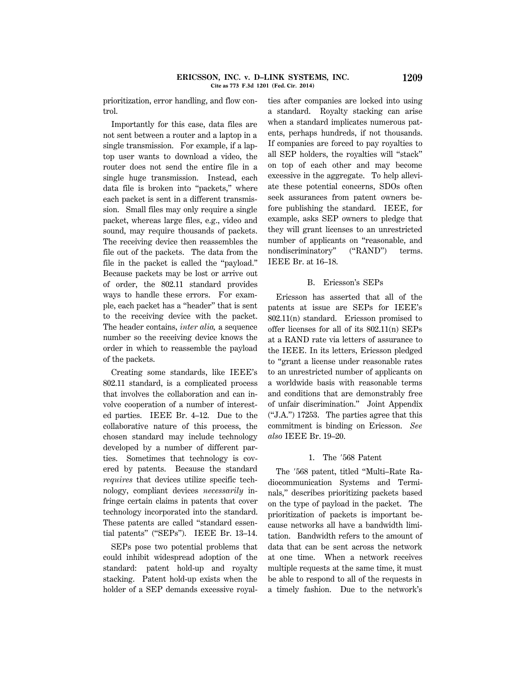prioritization, error handling, and flow control.

Importantly for this case, data files are not sent between a router and a laptop in a single transmission. For example, if a laptop user wants to download a video, the router does not send the entire file in a single huge transmission. Instead, each data file is broken into "packets," where each packet is sent in a different transmission. Small files may only require a single packet, whereas large files, e.g., video and sound, may require thousands of packets. The receiving device then reassembles the file out of the packets. The data from the file in the packet is called the ''payload.'' Because packets may be lost or arrive out of order, the 802.11 standard provides ways to handle these errors. For example, each packet has a ''header'' that is sent to the receiving device with the packet. The header contains, *inter alia,* a sequence number so the receiving device knows the order in which to reassemble the payload of the packets.

Creating some standards, like IEEE's 802.11 standard, is a complicated process that involves the collaboration and can involve cooperation of a number of interested parties. IEEE Br. 4–12. Due to the collaborative nature of this process, the chosen standard may include technology developed by a number of different parties. Sometimes that technology is covered by patents. Because the standard *requires* that devices utilize specific technology, compliant devices *necessarily* infringe certain claims in patents that cover technology incorporated into the standard. These patents are called ''standard essential patents" ("SEPs"). IEEE Br. 13-14.

SEPs pose two potential problems that could inhibit widespread adoption of the standard: patent hold-up and royalty stacking. Patent hold-up exists when the holder of a SEP demands excessive royalties after companies are locked into using a standard. Royalty stacking can arise when a standard implicates numerous patents, perhaps hundreds, if not thousands. If companies are forced to pay royalties to all SEP holders, the royalties will ''stack'' on top of each other and may become excessive in the aggregate. To help alleviate these potential concerns, SDOs often seek assurances from patent owners before publishing the standard. IEEE, for example, asks SEP owners to pledge that they will grant licenses to an unrestricted number of applicants on ''reasonable, and nondiscriminatory" ("RAND") terms. IEEE Br. at 16–18.

#### B. Ericsson's SEPs

Ericsson has asserted that all of the patents at issue are SEPs for IEEE's 802.11(n) standard. Ericsson promised to offer licenses for all of its 802.11(n) SEPs at a RAND rate via letters of assurance to the IEEE. In its letters, Ericsson pledged to ''grant a license under reasonable rates to an unrestricted number of applicants on a worldwide basis with reasonable terms and conditions that are demonstrably free of unfair discrimination.'' Joint Appendix (''J.A.'') 17253. The parties agree that this commitment is binding on Ericsson. *See also* IEEE Br. 19–20.

#### 1. The '568 Patent

The '568 patent, titled "Multi–Rate Radiocommunication Systems and Terminals,'' describes prioritizing packets based on the type of payload in the packet. The prioritization of packets is important because networks all have a bandwidth limitation. Bandwidth refers to the amount of data that can be sent across the network at one time. When a network receives multiple requests at the same time, it must be able to respond to all of the requests in a timely fashion. Due to the network's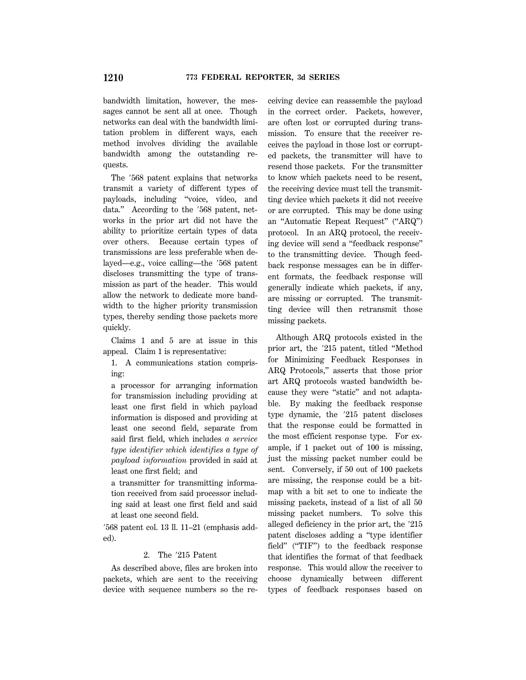bandwidth limitation, however, the messages cannot be sent all at once. Though networks can deal with the bandwidth limitation problem in different ways, each method involves dividing the available bandwidth among the outstanding requests.

The '568 patent explains that networks transmit a variety of different types of payloads, including ''voice, video, and data." According to the '568 patent, networks in the prior art did not have the ability to prioritize certain types of data over others. Because certain types of transmissions are less preferable when delayed—e.g., voice calling—the '568 patent discloses transmitting the type of transmission as part of the header. This would allow the network to dedicate more bandwidth to the higher priority transmission types, thereby sending those packets more quickly.

Claims 1 and 5 are at issue in this appeal. Claim 1 is representative:

1. A communications station comprising:

a processor for arranging information for transmission including providing at least one first field in which payload information is disposed and providing at least one second field, separate from said first field, which includes *a service type identifier which identifies a type of payload information* provided in said at least one first field; and

a transmitter for transmitting information received from said processor including said at least one first field and said at least one second field.

 $1568$  patent col. 13 ll. 11–21 (emphasis added).

#### 2. The '215 Patent

As described above, files are broken into packets, which are sent to the receiving device with sequence numbers so the receiving device can reassemble the payload in the correct order. Packets, however, are often lost or corrupted during transmission. To ensure that the receiver receives the payload in those lost or corrupted packets, the transmitter will have to resend those packets. For the transmitter to know which packets need to be resent, the receiving device must tell the transmitting device which packets it did not receive or are corrupted. This may be done using an ''Automatic Repeat Request'' (''ARQ'') protocol. In an ARQ protocol, the receiving device will send a ''feedback response'' to the transmitting device. Though feedback response messages can be in different formats, the feedback response will generally indicate which packets, if any, are missing or corrupted. The transmitting device will then retransmit those missing packets.

Although ARQ protocols existed in the prior art, the '215 patent, titled "Method for Minimizing Feedback Responses in ARQ Protocols,'' asserts that those prior art ARQ protocols wasted bandwidth because they were ''static'' and not adaptable. By making the feedback response type dynamic, the  $'215$  patent discloses that the response could be formatted in the most efficient response type. For example, if 1 packet out of 100 is missing, just the missing packet number could be sent. Conversely, if 50 out of 100 packets are missing, the response could be a bitmap with a bit set to one to indicate the missing packets, instead of a list of all 50 missing packet numbers. To solve this alleged deficiency in the prior art, the '215 patent discloses adding a ''type identifier field'' (''TIF'') to the feedback response that identifies the format of that feedback response. This would allow the receiver to choose dynamically between different types of feedback responses based on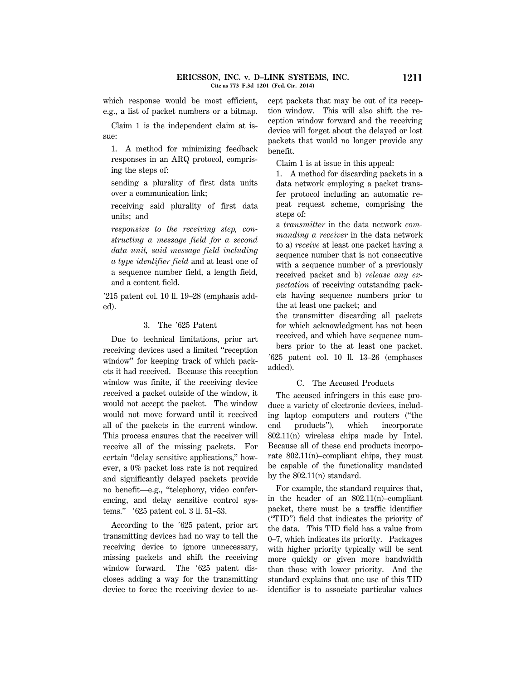which response would be most efficient, e.g., a list of packet numbers or a bitmap.

Claim 1 is the independent claim at issue:

1. A method for minimizing feedback responses in an ARQ protocol, comprising the steps of:

sending a plurality of first data units over a communication link;

receiving said plurality of first data units; and

*responsive to the receiving step, constructing a message field for a second data unit, said message field including a type identifier field* and at least one of a sequence number field, a length field, and a content field.

 $215$  patent col. 10 ll. 19–28 (emphasis added).

## 3. The '625 Patent

Due to technical limitations, prior art receiving devices used a limited ''reception window'' for keeping track of which packets it had received. Because this reception window was finite, if the receiving device received a packet outside of the window, it would not accept the packet. The window would not move forward until it received all of the packets in the current window. This process ensures that the receiver will receive all of the missing packets. For certain ''delay sensitive applications,'' however, a 0% packet loss rate is not required and significantly delayed packets provide no benefit—e.g., ''telephony, video conferencing, and delay sensitive control systems." '625 patent col. 3 ll. 51-53.

According to the '625 patent, prior art transmitting devices had no way to tell the receiving device to ignore unnecessary, missing packets and shift the receiving window forward. The '625 patent discloses adding a way for the transmitting device to force the receiving device to accept packets that may be out of its reception window. This will also shift the reception window forward and the receiving device will forget about the delayed or lost packets that would no longer provide any benefit.

Claim 1 is at issue in this appeal:

1. A method for discarding packets in a data network employing a packet transfer protocol including an automatic repeat request scheme, comprising the steps of:

a *transmitter* in the data network *commanding a receiver* in the data network to a) *receive* at least one packet having a sequence number that is not consecutive with a sequence number of a previously received packet and b) *release any expectation* of receiving outstanding packets having sequence numbers prior to the at least one packet; and

the transmitter discarding all packets for which acknowledgment has not been received, and which have sequence numbers prior to the at least one packet.  $625$  patent col. 10 ll. 13–26 (emphases added).

### C. The Accused Products

The accused infringers in this case produce a variety of electronic devices, including laptop computers and routers (''the end products''), which incorporate 802.11(n) wireless chips made by Intel. Because all of these end products incorporate 802.11(n)–compliant chips, they must be capable of the functionality mandated by the 802.11(n) standard.

For example, the standard requires that, in the header of an 802.11(n)–compliant packet, there must be a traffic identifier (''TID'') field that indicates the priority of the data. This TID field has a value from 0–7, which indicates its priority. Packages with higher priority typically will be sent more quickly or given more bandwidth than those with lower priority. And the standard explains that one use of this TID identifier is to associate particular values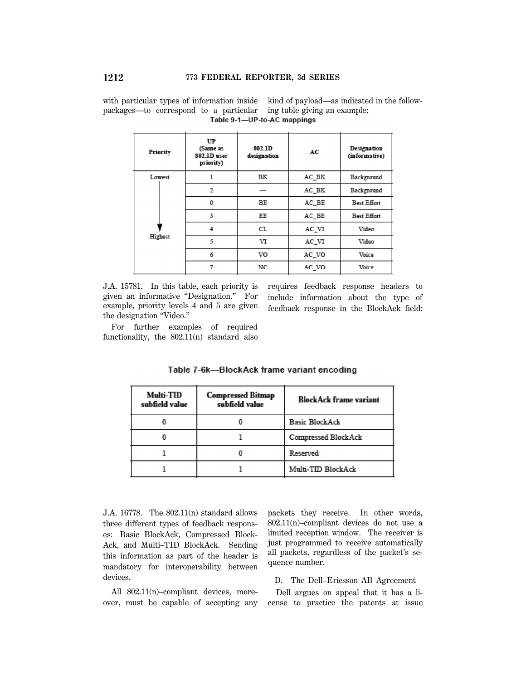with particular types of information inside kind of payload—as indicated in the following table giving an example: packages—to correspond to a particular Table 9-1-UP-to-AC mappings

| Priority          | UP<br>(Same as<br>802.1D user<br>priority) | 802.ID<br>designation | AC    | Designation<br>(informative) |
|-------------------|--------------------------------------------|-----------------------|-------|------------------------------|
| Lowest<br>Highest | ı                                          | ΒК                    | AC BK | Background                   |
|                   | 2                                          |                       | AC BK | Background                   |
|                   | 0                                          | ВE                    | AC BE | <b>Best Effort</b>           |
|                   | 3                                          | EE                    | AC BE | <b>Best Effort</b>           |
|                   | 4                                          | CL.                   | AC_VI | Video                        |
|                   | 5                                          | vı                    | AC VI | Video                        |
|                   | 6                                          | vo                    | AC VO | Voice                        |
|                   | 7                                          | NC                    | AC VO | Voice                        |

J.A. 15781. In this table, each priority is given an informative ''Designation.'' For example, priority levels 4 and 5 are given the designation ''Video.''

requires feedback response headers to include information about the type of feedback response in the BlockAck field:

For further examples of required functionality, the 802.11(n) standard also

| Multi-TID<br>subfield value | <b>Compressed Bitmap</b><br>subfield value | <b>BlockAck frame variant</b> |
|-----------------------------|--------------------------------------------|-------------------------------|
|                             |                                            | <b>Basic BlockAck</b>         |
|                             |                                            | Compressed BlockAck           |
|                             |                                            | Reserved                      |
|                             |                                            | Multi-TID BlockAck            |

Table 7-6k-BlockAck frame variant encoding

J.A. 16778. The 802.11(n) standard allows three different types of feedback responses: Basic BlockAck, Compressed Block-Ack, and Multi–TID BlockAck. Sending this information as part of the header is mandatory for interoperability between devices.

All 802.11(n)–compliant devices, moreover, must be capable of accepting any

packets they receive. In other words, 802.11(n)–compliant devices do not use a limited reception window. The receiver is just programmed to receive automatically all packets, regardless of the packet's sequence number.

## D. The Dell–Ericsson AB Agreement

Dell argues on appeal that it has a license to practice the patents at issue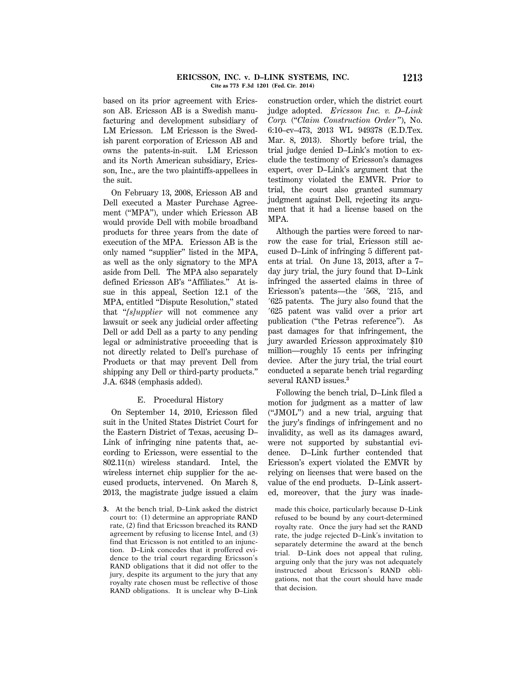based on its prior agreement with Ericsson AB. Ericsson AB is a Swedish manufacturing and development subsidiary of LM Ericsson. LM Ericsson is the Swedish parent corporation of Ericsson AB and owns the patents-in-suit. LM Ericsson and its North American subsidiary, Ericsson, Inc., are the two plaintiffs-appellees in the suit.

On February 13, 2008, Ericsson AB and Dell executed a Master Purchase Agreement (''MPA''), under which Ericsson AB would provide Dell with mobile broadband products for three years from the date of execution of the MPA. Ericsson AB is the only named ''supplier'' listed in the MPA, as well as the only signatory to the MPA aside from Dell. The MPA also separately defined Ericsson AB's ''Affiliates.'' At issue in this appeal, Section 12.1 of the MPA, entitled ''Dispute Resolution,'' stated that ''*[s]upplier* will not commence any lawsuit or seek any judicial order affecting Dell or add Dell as a party to any pending legal or administrative proceeding that is not directly related to Dell's purchase of Products or that may prevent Dell from shipping any Dell or third-party products.'' J.A. 6348 (emphasis added).

## E. Procedural History

On September 14, 2010, Ericsson filed suit in the United States District Court for the Eastern District of Texas, accusing D– Link of infringing nine patents that, according to Ericsson, were essential to the 802.11(n) wireless standard. Intel, the wireless internet chip supplier for the accused products, intervened. On March 8, 2013, the magistrate judge issued a claim

**3.** At the bench trial, D–Link asked the district court to: (1) determine an appropriate RAND rate, (2) find that Ericsson breached its RAND agreement by refusing to license Intel, and (3) find that Ericsson is not entitled to an injunction. D–Link concedes that it proffered evidence to the trial court regarding Ericsson's RAND obligations that it did not offer to the jury, despite its argument to the jury that any royalty rate chosen must be reflective of those RAND obligations. It is unclear why D–Link

construction order, which the district court judge adopted. *Ericsson Inc. v. D–Link Corp.* (''*Claim Construction Order* ''), No. 6:10–cv–473, 2013 WL 949378 (E.D.Tex. Mar. 8, 2013). Shortly before trial, the trial judge denied D–Link's motion to exclude the testimony of Ericsson's damages expert, over D–Link's argument that the testimony violated the EMVR. Prior to trial, the court also granted summary judgment against Dell, rejecting its argument that it had a license based on the MPA.

Although the parties were forced to narrow the case for trial, Ericsson still accused D–Link of infringing 5 different patents at trial. On June 13, 2013, after a 7– day jury trial, the jury found that D–Link infringed the asserted claims in three of Ericsson's patents—the '568, '215, and 8625 patents. The jury also found that the 8625 patent was valid over a prior art publication (''the Petras reference''). As past damages for that infringement, the jury awarded Ericsson approximately \$10 million—roughly 15 cents per infringing device. After the jury trial, the trial court conducted a separate bench trial regarding several RAND issues.**<sup>3</sup>**

Following the bench trial, D–Link filed a motion for judgment as a matter of law (''JMOL'') and a new trial, arguing that the jury's findings of infringement and no invalidity, as well as its damages award, were not supported by substantial evidence. D–Link further contended that Ericsson's expert violated the EMVR by relying on licenses that were based on the value of the end products. D–Link asserted, moreover, that the jury was inade-

made this choice, particularly because D–Link refused to be bound by any court-determined royalty rate. Once the jury had set the RAND rate, the judge rejected D–Link's invitation to separately determine the award at the bench trial. D–Link does not appeal that ruling, arguing only that the jury was not adequately instructed about Ericsson's RAND obligations, not that the court should have made that decision.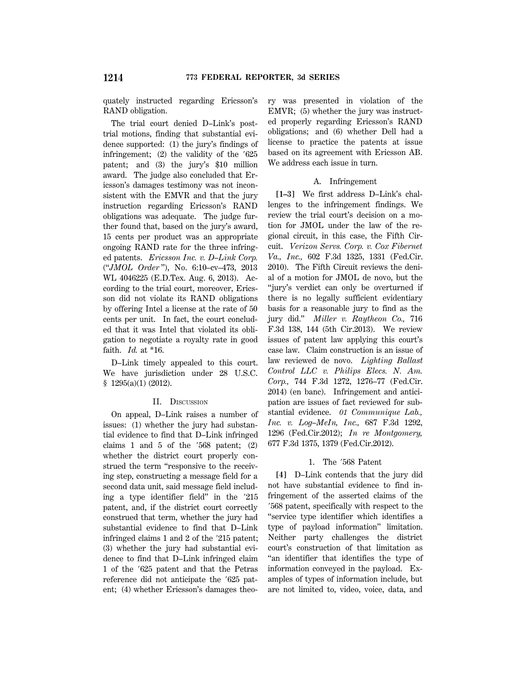quately instructed regarding Ericsson's RAND obligation.

The trial court denied D–Link's posttrial motions, finding that substantial evidence supported: (1) the jury's findings of infringement;  $(2)$  the validity of the  $625$ patent; and (3) the jury's \$10 million award. The judge also concluded that Ericsson's damages testimony was not inconsistent with the EMVR and that the jury instruction regarding Ericsson's RAND obligations was adequate. The judge further found that, based on the jury's award, 15 cents per product was an appropriate ongoing RAND rate for the three infringed patents. *Ericsson Inc. v. D–Link Corp.* (''*JMOL Order* ''), No. 6:10–cv–473, 2013 WL 4046225 (E.D.Tex. Aug. 6, 2013). According to the trial court, moreover, Ericsson did not violate its RAND obligations by offering Intel a license at the rate of 50 cents per unit. In fact, the court concluded that it was Intel that violated its obligation to negotiate a royalty rate in good faith. *Id.* at \*16.

D–Link timely appealed to this court. We have jurisdiction under 28 U.S.C.  $$ 1295(a)(1) (2012).$ 

#### II. DISCUSSION

On appeal, D–Link raises a number of issues: (1) whether the jury had substantial evidence to find that D–Link infringed claims 1 and 5 of the  $'568$  patent; (2) whether the district court properly construed the term ''responsive to the receiving step, constructing a message field for a second data unit, said message field including a type identifier field" in the  $'215$ patent, and, if the district court correctly construed that term, whether the jury had substantial evidence to find that D–Link infringed claims 1 and 2 of the '215 patent; (3) whether the jury had substantial evidence to find that D–Link infringed claim 1 of the '625 patent and that the Petras reference did not anticipate the '625 patent; (4) whether Ericsson's damages theory was presented in violation of the EMVR; (5) whether the jury was instructed properly regarding Ericsson's RAND obligations; and (6) whether Dell had a license to practice the patents at issue based on its agreement with Ericsson AB. We address each issue in turn.

#### A. Infringement

**[1–3]** We first address D–Link's challenges to the infringement findings. We review the trial court's decision on a motion for JMOL under the law of the regional circuit, in this case, the Fifth Circuit. *Verizon Servs. Corp. v. Cox Fibernet Va., Inc.,* 602 F.3d 1325, 1331 (Fed.Cir. 2010). The Fifth Circuit reviews the denial of a motion for JMOL de novo, but the ''jury's verdict can only be overturned if there is no legally sufficient evidentiary basis for a reasonable jury to find as the jury did.'' *Miller v. Raytheon Co.,* 716 F.3d 138, 144 (5th Cir.2013). We review issues of patent law applying this court's case law. Claim construction is an issue of law reviewed de novo. *Lighting Ballast Control LLC v. Philips Elecs. N. Am. Corp.,* 744 F.3d 1272, 1276–77 (Fed.Cir. 2014) (en banc). Infringement and anticipation are issues of fact reviewed for substantial evidence. *01 Communique Lab., Inc. v. Log–MeIn, Inc.,* 687 F.3d 1292, 1296 (Fed.Cir.2012); *In re Montgomery,* 677 F.3d 1375, 1379 (Fed.Cir.2012).

#### 1. The '568 Patent

**[4]** D–Link contends that the jury did not have substantial evidence to find infringement of the asserted claims of the 8568 patent, specifically with respect to the ''service type identifier which identifies a type of payload information'' limitation. Neither party challenges the district court's construction of that limitation as ''an identifier that identifies the type of information conveyed in the payload. Examples of types of information include, but are not limited to, video, voice, data, and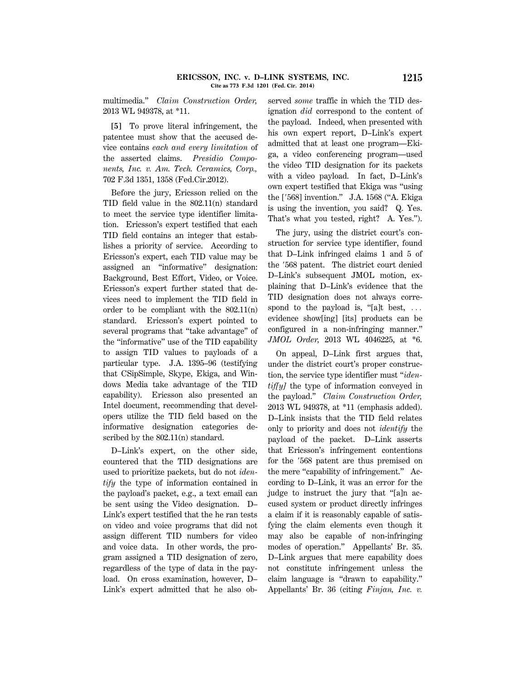multimedia.'' *Claim Construction Order,* 2013 WL 949378, at \*11.

**[5]** To prove literal infringement, the patentee must show that the accused device contains *each and every limitation* of the asserted claims. *Presidio Components, Inc. v. Am. Tech. Ceramics, Corp.,* 702 F.3d 1351, 1358 (Fed.Cir.2012).

Before the jury, Ericsson relied on the TID field value in the 802.11(n) standard to meet the service type identifier limitation. Ericsson's expert testified that each TID field contains an integer that establishes a priority of service. According to Ericsson's expert, each TID value may be assigned an ''informative'' designation: Background, Best Effort, Video, or Voice. Ericsson's expert further stated that devices need to implement the TID field in order to be compliant with the 802.11(n) standard. Ericsson's expert pointed to several programs that ''take advantage'' of the ''informative'' use of the TID capability to assign TID values to payloads of a particular type. J.A. 1395–96 (testifying that CSipSimple, Skype, Ekiga, and Windows Media take advantage of the TID capability). Ericsson also presented an Intel document, recommending that developers utilize the TID field based on the informative designation categories described by the 802.11(n) standard.

D–Link's expert, on the other side, countered that the TID designations are used to prioritize packets, but do not *identify* the type of information contained in the payload's packet, e.g., a text email can be sent using the Video designation. D– Link's expert testified that the he ran tests on video and voice programs that did not assign different TID numbers for video and voice data. In other words, the program assigned a TID designation of zero, regardless of the type of data in the payload. On cross examination, however, D– Link's expert admitted that he also observed *some* traffic in which the TID designation *did* correspond to the content of the payload. Indeed, when presented with his own expert report, D–Link's expert admitted that at least one program—Ekiga, a video conferencing program—used the video TID designation for its packets with a video payload. In fact, D–Link's own expert testified that Ekiga was ''using the  $[′568]$  invention." J.A. 1568 ("A. Ekiga is using the invention, you said? Q. Yes. That's what you tested, right? A. Yes.'').

The jury, using the district court's construction for service type identifier, found that D–Link infringed claims 1 and 5 of the '568 patent. The district court denied D–Link's subsequent JMOL motion, explaining that D–Link's evidence that the TID designation does not always correspond to the payload is, "[a]t best,  $\ldots$ evidence show[ing] [its] products can be configured in a non-infringing manner.'' *JMOL Order,* 2013 WL 4046225, at \*6.

On appeal, D–Link first argues that, under the district court's proper construction, the service type identifier must ''*identif[y]* the type of information conveyed in the payload.'' *Claim Construction Order,* 2013 WL 949378, at \*11 (emphasis added). D–Link insists that the TID field relates only to priority and does not *identify* the payload of the packet. D–Link asserts that Ericsson's infringement contentions for the '568 patent are thus premised on the mere "capability of infringement." According to D–Link, it was an error for the judge to instruct the jury that ''[a]n accused system or product directly infringes a claim if it is reasonably capable of satisfying the claim elements even though it may also be capable of non-infringing modes of operation.'' Appellants' Br. 35. D–Link argues that mere capability does not constitute infringement unless the claim language is ''drawn to capability.'' Appellants' Br. 36 (citing *Finjan, Inc. v.*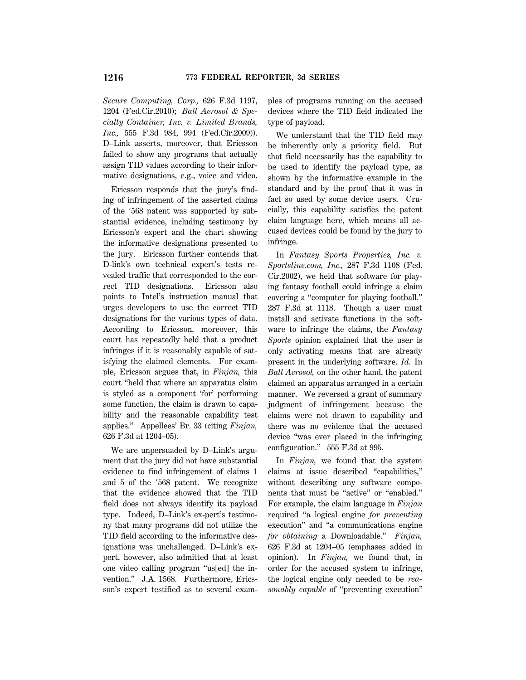*Secure Computing, Corp.,* 626 F.3d 1197, 1204 (Fed.Cir.2010); *Ball Aerosol & Specialty Container, Inc. v. Limited Brands, Inc.,* 555 F.3d 984, 994 (Fed.Cir.2009)). D–Link asserts, moreover, that Ericsson failed to show any programs that actually assign TID values according to their informative designations, e.g., voice and video.

Ericsson responds that the jury's finding of infringement of the asserted claims of the '568 patent was supported by substantial evidence, including testimony by Ericsson's expert and the chart showing the informative designations presented to the jury. Ericsson further contends that D-link's own technical expert's tests revealed traffic that corresponded to the correct TID designations. Ericsson also points to Intel's instruction manual that urges developers to use the correct TID designations for the various types of data. According to Ericsson, moreover, this court has repeatedly held that a product infringes if it is reasonably capable of satisfying the claimed elements. For example, Ericsson argues that, in *Finjan,* this court ''held that where an apparatus claim is styled as a component 'for' performing some function, the claim is drawn to capability and the reasonable capability test applies.'' Appellees' Br. 33 (citing *Finjan,* 626 F.3d at 1204–05).

We are unpersuaded by D–Link's argument that the jury did not have substantial evidence to find infringement of claims 1 and 5 of the '568 patent. We recognize that the evidence showed that the TID field does not always identify its payload type. Indeed, D–Link's ex-pert's testimony that many programs did not utilize the TID field according to the informative designations was unchallenged. D–Link's expert, however, also admitted that at least one video calling program ''us[ed] the invention.'' J.A. 1568. Furthermore, Ericsson's expert testified as to several examples of programs running on the accused devices where the TID field indicated the type of payload.

We understand that the TID field may be inherently only a priority field. But that field necessarily has the capability to be used to identify the payload type, as shown by the informative example in the standard and by the proof that it was in fact so used by some device users. Crucially, this capability satisfies the patent claim language here, which means all accused devices could be found by the jury to infringe.

In *Fantasy Sports Properties, Inc. v. Sportsline.com, Inc.,* 287 F.3d 1108 (Fed. Cir.2002), we held that software for playing fantasy football could infringe a claim covering a ''computer for playing football.'' 287 F.3d at 1118. Though a user must install and activate functions in the software to infringe the claims, the *Fantasy Sports* opinion explained that the user is only activating means that are already present in the underlying software. *Id.* In *Ball Aerosol,* on the other hand, the patent claimed an apparatus arranged in a certain manner. We reversed a grant of summary judgment of infringement because the claims were not drawn to capability and there was no evidence that the accused device ''was ever placed in the infringing configuration.'' 555 F.3d at 995.

In *Finjan,* we found that the system claims at issue described ''capabilities,'' without describing any software components that must be ''active'' or ''enabled.'' For example, the claim language in *Finjan* required ''a logical engine *for preventing* execution'' and ''a communications engine *for obtaining* a Downloadable.'' *Finjan,* 626 F.3d at 1204–05 (emphases added in opinion). In *Finjan,* we found that, in order for the accused system to infringe, the logical engine only needed to be *reasonably capable* of ''preventing execution''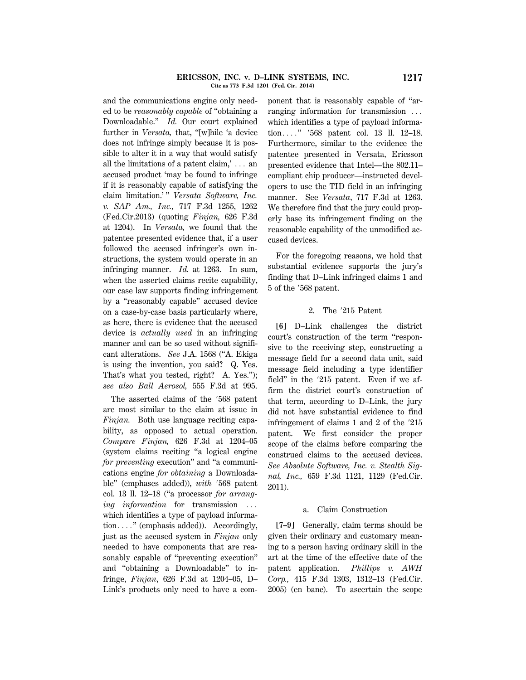and the communications engine only needed to be *reasonably capable* of ''obtaining a Downloadable.'' *Id.* Our court explained further in *Versata*, that, "[w]hile 'a device does not infringe simply because it is possible to alter it in a way that would satisfy all the limitations of a patent claim,'  $\dots$  and accused product 'may be found to infringe if it is reasonably capable of satisfying the claim limitation.' '' *Versata Software, Inc. v. SAP Am., Inc.,* 717 F.3d 1255, 1262 (Fed.Cir.2013) (quoting *Finjan,* 626 F.3d at 1204). In *Versata,* we found that the patentee presented evidence that, if a user followed the accused infringer's own instructions, the system would operate in an infringing manner. *Id.* at 1263. In sum, when the asserted claims recite capability, our case law supports finding infringement by a ''reasonably capable'' accused device on a case-by-case basis particularly where, as here, there is evidence that the accused device is *actually used* in an infringing manner and can be so used without significant alterations. *See* J.A. 1568 (''A. Ekiga is using the invention, you said? Q. Yes. That's what you tested, right? A. Yes.''); *see also Ball Aerosol,* 555 F.3d at 995.

The asserted claims of the '568 patent are most similar to the claim at issue in *Finjan.* Both use language reciting capability, as opposed to actual operation. *Compare Finjan,* 626 F.3d at 1204–05 (system claims reciting ''a logical engine *for preventing* execution" and "a communications engine *for obtaining* a Downloadable" (emphases added)), *with* '568 patent col. 13 ll. 12–18 (''a processor *for arranging information* for transmission ... which identifies a type of payload informa- $\text{tion}\dots$ ," (emphasis added)). Accordingly, just as the accused system in *Finjan* only needed to have components that are reasonably capable of ''preventing execution'' and ''obtaining a Downloadable'' to infringe, *Finjan*, 626 F.3d at 1204–05, D– Link's products only need to have a component that is reasonably capable of ''arranging information for transmission  $\ldots$ which identifies a type of payload informa- $\{$  tion...."  $'568$  patent col. 13 ll. 12–18. Furthermore, similar to the evidence the patentee presented in Versata, Ericsson presented evidence that Intel—the 802.11– compliant chip producer—instructed developers to use the TID field in an infringing manner. See *Versata*, 717 F.3d at 1263. We therefore find that the jury could properly base its infringement finding on the reasonable capability of the unmodified accused devices.

For the foregoing reasons, we hold that substantial evidence supports the jury's finding that D–Link infringed claims 1 and 5 of the '568 patent.

#### 2. The '215 Patent

**[6]** D–Link challenges the district court's construction of the term ''responsive to the receiving step, constructing a message field for a second data unit, said message field including a type identifier field" in the '215 patent. Even if we affirm the district court's construction of that term, according to D–Link, the jury did not have substantial evidence to find infringement of claims  $1$  and  $2$  of the  $'215$ patent. We first consider the proper scope of the claims before comparing the construed claims to the accused devices. *See Absolute Software, Inc. v. Stealth Signal, Inc.,* 659 F.3d 1121, 1129 (Fed.Cir. 2011).

#### a. Claim Construction

**[7–9]** Generally, claim terms should be given their ordinary and customary meaning to a person having ordinary skill in the art at the time of the effective date of the patent application. *Phillips v. AWH Corp.,* 415 F.3d 1303, 1312–13 (Fed.Cir. 2005) (en banc). To ascertain the scope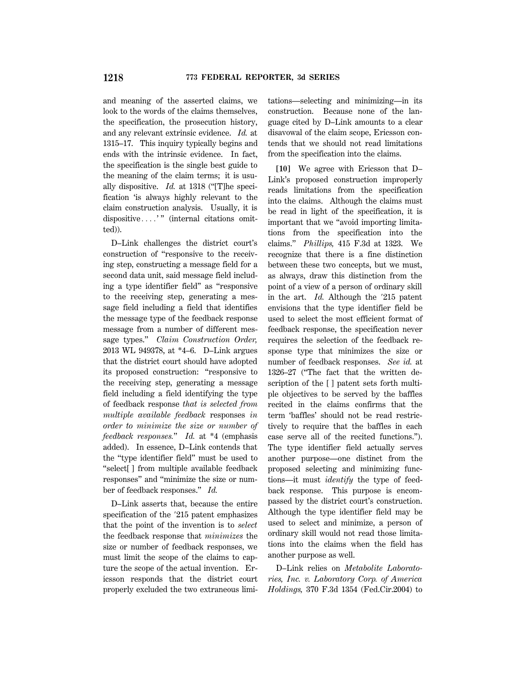and meaning of the asserted claims, we look to the words of the claims themselves, the specification, the prosecution history, and any relevant extrinsic evidence. *Id.* at 1315–17. This inquiry typically begins and ends with the intrinsic evidence. In fact, the specification is the single best guide to the meaning of the claim terms; it is usually dispositive. *Id.* at 1318 ("[T]he specification 'is always highly relevant to the claim construction analysis. Usually, it is dispositive....'" (internal citations omitted)).

D–Link challenges the district court's construction of ''responsive to the receiving step, constructing a message field for a second data unit, said message field including a type identifier field'' as ''responsive to the receiving step, generating a message field including a field that identifies the message type of the feedback response message from a number of different message types.'' *Claim Construction Order,* 2013 WL 949378, at \*4–6. D–Link argues that the district court should have adopted its proposed construction: ''responsive to the receiving step, generating a message field including a field identifying the type of feedback response *that is selected from multiple available feedback* responses *in order to minimize the size or number of feedback responses.*'' *Id.* at \*4 (emphasis added). In essence, D–Link contends that the ''type identifier field'' must be used to ''select[ ] from multiple available feedback responses'' and ''minimize the size or number of feedback responses.'' *Id.*

D–Link asserts that, because the entire specification of the '215 patent emphasizes that the point of the invention is to *select* the feedback response that *minimizes* the size or number of feedback responses, we must limit the scope of the claims to capture the scope of the actual invention. Ericsson responds that the district court properly excluded the two extraneous limitations—selecting and minimizing—in its construction. Because none of the language cited by D–Link amounts to a clear disavowal of the claim scope, Ericsson contends that we should not read limitations from the specification into the claims.

**[10]** We agree with Ericsson that D– Link's proposed construction improperly reads limitations from the specification into the claims. Although the claims must be read in light of the specification, it is important that we "avoid importing limitations from the specification into the claims.'' *Phillips,* 415 F.3d at 1323. We recognize that there is a fine distinction between these two concepts, but we must, as always, draw this distinction from the point of a view of a person of ordinary skill in the art. *Id.* Although the '215 patent envisions that the type identifier field be used to select the most efficient format of feedback response, the specification never requires the selection of the feedback response type that minimizes the size or number of feedback responses. *See id.* at 1326–27 (''The fact that the written description of the [ ] patent sets forth multiple objectives to be served by the baffles recited in the claims confirms that the term 'baffles' should not be read restrictively to require that the baffles in each case serve all of the recited functions.''). The type identifier field actually serves another purpose—one distinct from the proposed selecting and minimizing functions—it must *identify* the type of feedback response. This purpose is encompassed by the district court's construction. Although the type identifier field may be used to select and minimize, a person of ordinary skill would not read those limitations into the claims when the field has another purpose as well.

D–Link relies on *Metabolite Laboratories, Inc. v. Laboratory Corp. of America Holdings,* 370 F.3d 1354 (Fed.Cir.2004) to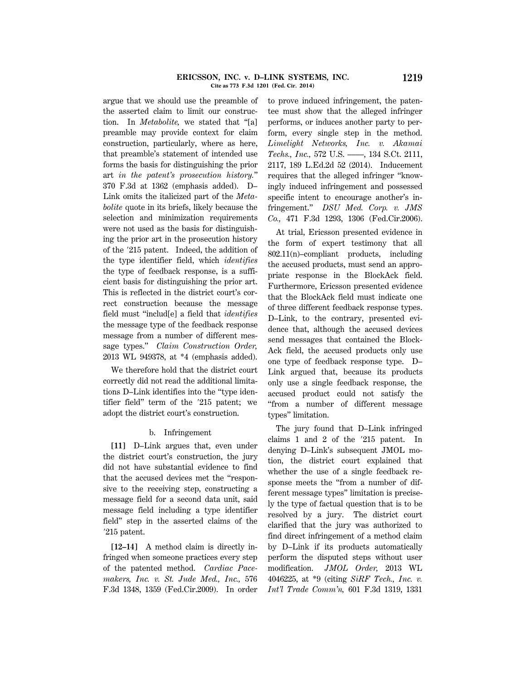#### **ERICSSON, INC. v. D–LINK SYSTEMS, INC. 1219 Cite as 773 F.3d 1201 (Fed. Cir. 2014)**

argue that we should use the preamble of the asserted claim to limit our construction. In *Metabolite,* we stated that ''[a] preamble may provide context for claim construction, particularly, where as here, that preamble's statement of intended use forms the basis for distinguishing the prior art *in the patent's prosecution history.*'' 370 F.3d at 1362 (emphasis added). D– Link omits the italicized part of the *Metabolite* quote in its briefs, likely because the selection and minimization requirements were not used as the basis for distinguishing the prior art in the prosecution history of the '215 patent. Indeed, the addition of the type identifier field, which *identifies* the type of feedback response, is a sufficient basis for distinguishing the prior art. This is reflected in the district court's correct construction because the message field must ''includ[e] a field that *identifies* the message type of the feedback response message from a number of different message types.'' *Claim Construction Order,* 2013 WL 949378, at \*4 (emphasis added).

We therefore hold that the district court correctly did not read the additional limitations D–Link identifies into the ''type identifier field" term of the '215 patent; we adopt the district court's construction.

## b. Infringement

**[11]** D–Link argues that, even under the district court's construction, the jury did not have substantial evidence to find that the accused devices met the ''responsive to the receiving step, constructing a message field for a second data unit, said message field including a type identifier field'' step in the asserted claims of the  $'215$  patent.

**[12–14]** A method claim is directly infringed when someone practices every step of the patented method. *Cardiac Pacemakers, Inc. v. St. Jude Med., Inc.,* 576 F.3d 1348, 1359 (Fed.Cir.2009). In order to prove induced infringement, the patentee must show that the alleged infringer performs, or induces another party to perform, every single step in the method. *Limelight Networks, Inc. v. Akamai Techs., Inc.,* 572 U.S. ––––, 134 S.Ct. 2111, 2117, 189 L.Ed.2d 52 (2014). Inducement requires that the alleged infringer ''knowingly induced infringement and possessed specific intent to encourage another's infringement.'' *DSU Med. Corp. v. JMS Co.,* 471 F.3d 1293, 1306 (Fed.Cir.2006).

At trial, Ericsson presented evidence in the form of expert testimony that all 802.11(n)–compliant products, including the accused products, must send an appropriate response in the BlockAck field. Furthermore, Ericsson presented evidence that the BlockAck field must indicate one of three different feedback response types. D–Link, to the contrary, presented evidence that, although the accused devices send messages that contained the Block-Ack field, the accused products only use one type of feedback response type. D– Link argued that, because its products only use a single feedback response, the accused product could not satisfy the ''from a number of different message types'' limitation.

The jury found that D–Link infringed claims 1 and 2 of the '215 patent. In denying D–Link's subsequent JMOL motion, the district court explained that whether the use of a single feedback response meets the ''from a number of different message types'' limitation is precisely the type of factual question that is to be resolved by a jury. The district court clarified that the jury was authorized to find direct infringement of a method claim by D–Link if its products automatically perform the disputed steps without user modification. *JMOL Order,* 2013 WL 4046225, at \*9 (citing *SiRF Tech., Inc. v. Int'l Trade Comm'n,* 601 F.3d 1319, 1331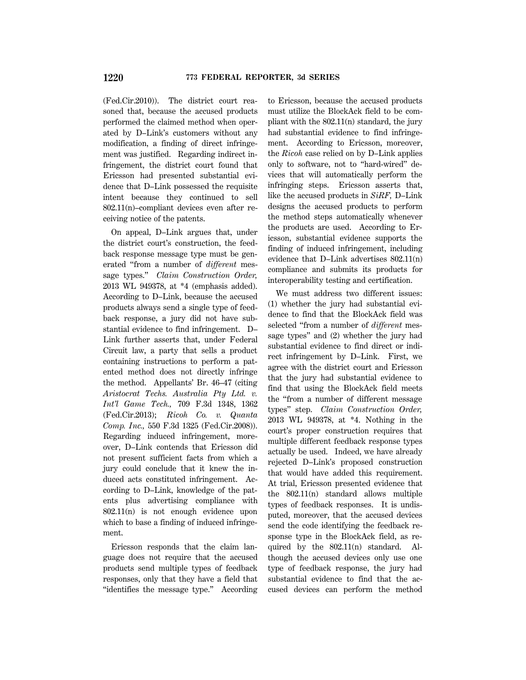(Fed.Cir.2010)). The district court reasoned that, because the accused products performed the claimed method when operated by D–Link's customers without any modification, a finding of direct infringement was justified. Regarding indirect infringement, the district court found that Ericsson had presented substantial evidence that D–Link possessed the requisite intent because they continued to sell 802.11(n)–compliant devices even after receiving notice of the patents.

On appeal, D–Link argues that, under the district court's construction, the feedback response message type must be generated ''from a number of *different* message types.'' *Claim Construction Order,* 2013 WL 949378, at \*4 (emphasis added). According to D–Link, because the accused products always send a single type of feedback response, a jury did not have substantial evidence to find infringement. D– Link further asserts that, under Federal Circuit law, a party that sells a product containing instructions to perform a patented method does not directly infringe the method. Appellants' Br. 46–47 (citing *Aristocrat Techs. Australia Pty Ltd. v. Int'l Game Tech.,* 709 F.3d 1348, 1362 (Fed.Cir.2013); *Ricoh Co. v. Quanta Comp. Inc.,* 550 F.3d 1325 (Fed.Cir.2008)). Regarding induced infringement, moreover, D–Link contends that Ericsson did not present sufficient facts from which a jury could conclude that it knew the induced acts constituted infringement. According to D–Link, knowledge of the patents plus advertising compliance with 802.11(n) is not enough evidence upon which to base a finding of induced infringement.

Ericsson responds that the claim language does not require that the accused products send multiple types of feedback responses, only that they have a field that ''identifies the message type.'' According to Ericsson, because the accused products must utilize the BlockAck field to be compliant with the 802.11(n) standard, the jury had substantial evidence to find infringement. According to Ericsson, moreover, the *Ricoh* case relied on by D–Link applies only to software, not to ''hard-wired'' devices that will automatically perform the infringing steps. Ericsson asserts that, like the accused products in *SiRF,* D–Link designs the accused products to perform the method steps automatically whenever the products are used. According to Ericsson, substantial evidence supports the finding of induced infringement, including evidence that D–Link advertises 802.11(n) compliance and submits its products for interoperability testing and certification.

We must address two different issues: (1) whether the jury had substantial evidence to find that the BlockAck field was selected ''from a number of *different* message types'' and (2) whether the jury had substantial evidence to find direct or indirect infringement by D–Link. First, we agree with the district court and Ericsson that the jury had substantial evidence to find that using the BlockAck field meets the ''from a number of different message types'' step. *Claim Construction Order,* 2013 WL 949378, at \*4. Nothing in the court's proper construction requires that multiple different feedback response types actually be used. Indeed, we have already rejected D–Link's proposed construction that would have added this requirement. At trial, Ericsson presented evidence that the 802.11(n) standard allows multiple types of feedback responses. It is undisputed, moreover, that the accused devices send the code identifying the feedback response type in the BlockAck field, as required by the 802.11(n) standard. Although the accused devices only use one type of feedback response, the jury had substantial evidence to find that the accused devices can perform the method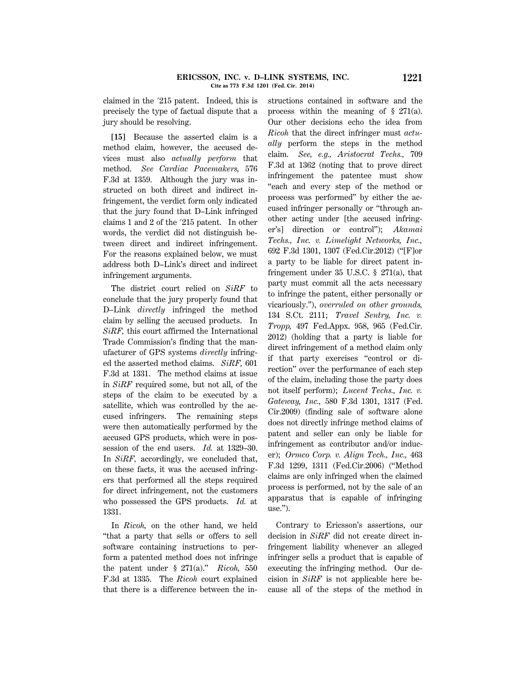#### **ERICSSON, INC. v. D–LINK SYSTEMS, INC. 1221 Cite as 773 F.3d 1201 (Fed. Cir. 2014)**

claimed in the  $'215$  patent. Indeed, this is precisely the type of factual dispute that a jury should be resolving.

**[15]** Because the asserted claim is a method claim, however, the accused devices must also *actually perform* that method. *See Cardiac Pacemakers,* 576 F.3d at 1359. Although the jury was instructed on both direct and indirect infringement, the verdict form only indicated that the jury found that D–Link infringed claims  $1$  and  $2$  of the  $'215$  patent. In other words, the verdict did not distinguish between direct and indirect infringement. For the reasons explained below, we must address both D–Link's direct and indirect infringement arguments.

The district court relied on *SiRF* to conclude that the jury properly found that D–Link *directly* infringed the method claim by selling the accused products. In *SiRF,* this court affirmed the International Trade Commission's finding that the manufacturer of GPS systems *directly* infringed the asserted method claims. *SiRF,* 601 F.3d at 1331. The method claims at issue in *SiRF* required some, but not all, of the steps of the claim to be executed by a satellite, which was controlled by the accused infringers. The remaining steps were then automatically performed by the accused GPS products, which were in possession of the end users. *Id.* at 1329–30. In *SiRF*, accordingly, we concluded that, on these facts, it was the accused infringers that performed all the steps required for direct infringement, not the customers who possessed the GPS products. *Id.* at 1331.

In *Ricoh,* on the other hand, we held ''that a party that sells or offers to sell software containing instructions to perform a patented method does not infringe the patent under § 271(a).'' *Ricoh,* 550 F.3d at 1335. The *Ricoh* court explained that there is a difference between the instructions contained in software and the process within the meaning of § 271(a). Our other decisions echo the idea from *Ricoh* that the direct infringer must *actually* perform the steps in the method claim. *See, e.g., Aristocrat Techs.,* 709 F.3d at 1362 (noting that to prove direct infringement the patentee must show ''each and every step of the method or process was performed'' by either the accused infringer personally or ''through another acting under [the accused infringer's] direction or control''); *Akamai Techs., Inc. v. Limelight Networks, Inc.,* 692 F.3d 1301, 1307 (Fed.Cir.2012) (''[F]or a party to be liable for direct patent infringement under 35 U.S.C. § 271(a), that party must commit all the acts necessary to infringe the patent, either personally or vicariously.''), *overruled on other grounds,* 134 S.Ct. 2111; *Travel Sentry, Inc. v. Tropp,* 497 Fed.Appx. 958, 965 (Fed.Cir. 2012) (holding that a party is liable for direct infringement of a method claim only if that party exercises ''control or direction'' over the performance of each step of the claim, including those the party does not itself perform); *Lucent Techs., Inc. v. Gateway, Inc.,* 580 F.3d 1301, 1317 (Fed. Cir.2009) (finding sale of software alone does not directly infringe method claims of patent and seller can only be liable for infringement as contributor and/or inducer); *Ormco Corp. v. Align Tech., Inc.,* 463 F.3d 1299, 1311 (Fed.Cir.2006) (''Method claims are only infringed when the claimed process is performed, not by the sale of an apparatus that is capable of infringing use.'').

Contrary to Ericsson's assertions, our decision in *SiRF* did not create direct infringement liability whenever an alleged infringer sells a product that is capable of executing the infringing method. Our decision in *SiRF* is not applicable here because all of the steps of the method in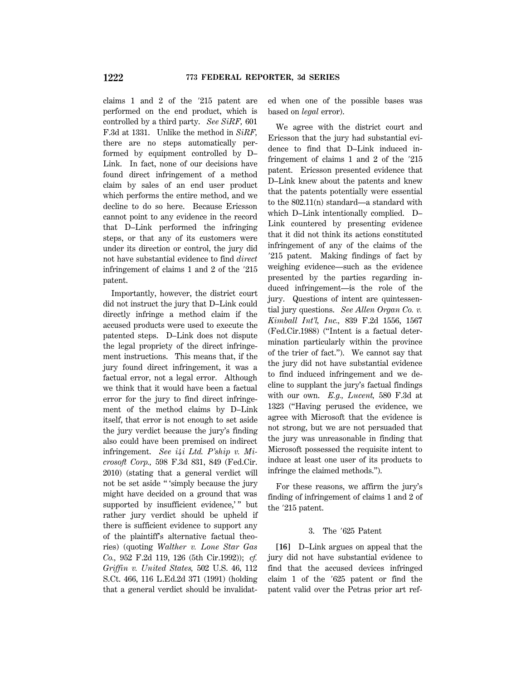claims  $1$  and  $2$  of the  $'215$  patent are performed on the end product, which is controlled by a third party. *See SiRF,* 601 F.3d at 1331. Unlike the method in *SiRF,* there are no steps automatically performed by equipment controlled by D– Link. In fact, none of our decisions have found direct infringement of a method claim by sales of an end user product which performs the entire method, and we decline to do so here. Because Ericsson cannot point to any evidence in the record that D–Link performed the infringing steps, or that any of its customers were under its direction or control, the jury did not have substantial evidence to find *direct* infringement of claims  $1$  and  $2$  of the  $'215$ patent.

Importantly, however, the district court did not instruct the jury that D–Link could directly infringe a method claim if the accused products were used to execute the patented steps. D–Link does not dispute the legal propriety of the direct infringement instructions. This means that, if the jury found direct infringement, it was a factual error, not a legal error. Although we think that it would have been a factual error for the jury to find direct infringement of the method claims by D–Link itself, that error is not enough to set aside the jury verdict because the jury's finding also could have been premised on indirect infringement. *See i4i Ltd. P'ship v. Microsoft Corp.,* 598 F.3d 831, 849 (Fed.Cir. 2010) (stating that a general verdict will not be set aside '' 'simply because the jury might have decided on a ground that was supported by insufficient evidence,'" but rather jury verdict should be upheld if there is sufficient evidence to support any of the plaintiff's alternative factual theories) (quoting *Walther v. Lone Star Gas Co.,* 952 F.2d 119, 126 (5th Cir.1992)); *cf. Griffin v. United States,* 502 U.S. 46, 112 S.Ct. 466, 116 L.Ed.2d 371 (1991) (holding that a general verdict should be invalidated when one of the possible bases was based on *legal* error).

We agree with the district court and Ericsson that the jury had substantial evidence to find that D–Link induced infringement of claims  $1$  and  $2$  of the  $'215$ patent. Ericsson presented evidence that D–Link knew about the patents and knew that the patents potentially were essential to the 802.11(n) standard—a standard with which D–Link intentionally complied. D– Link countered by presenting evidence that it did not think its actions constituted infringement of any of the claims of the 8215 patent. Making findings of fact by weighing evidence—such as the evidence presented by the parties regarding induced infringement—is the role of the jury. Questions of intent are quintessential jury questions. *See Allen Organ Co. v. Kimball Int'l, Inc.,* 839 F.2d 1556, 1567 (Fed.Cir.1988) (''Intent is a factual determination particularly within the province of the trier of fact.''). We cannot say that the jury did not have substantial evidence to find induced infringement and we decline to supplant the jury's factual findings with our own. *E.g., Lucent,* 580 F.3d at 1323 (''Having perused the evidence, we agree with Microsoft that the evidence is not strong, but we are not persuaded that the jury was unreasonable in finding that Microsoft possessed the requisite intent to induce at least one user of its products to infringe the claimed methods.'').

For these reasons, we affirm the jury's finding of infringement of claims 1 and 2 of the '215 patent.

#### 3. The '625 Patent

**[16]** D–Link argues on appeal that the jury did not have substantial evidence to find that the accused devices infringed claim 1 of the  $625$  patent or find the patent valid over the Petras prior art ref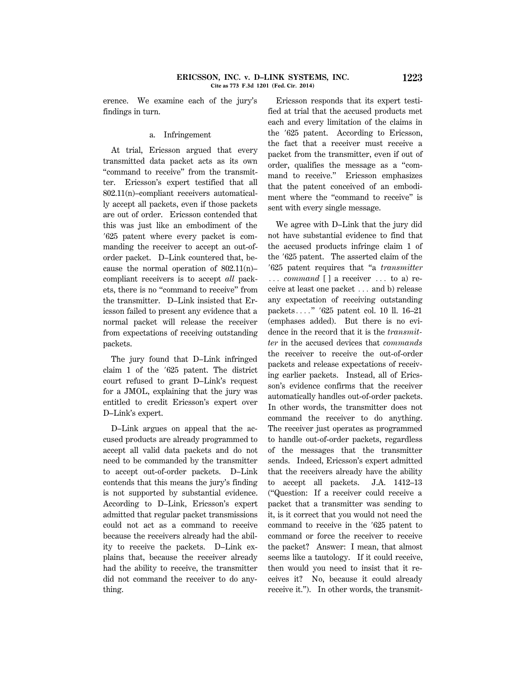erence. We examine each of the jury's findings in turn.

## a. Infringement

At trial, Ericsson argued that every transmitted data packet acts as its own "command to receive" from the transmitter. Ericsson's expert testified that all 802.11(n)–compliant receivers automatically accept all packets, even if those packets are out of order. Ericsson contended that this was just like an embodiment of the '625 patent where every packet is commanding the receiver to accept an out-oforder packet. D–Link countered that, because the normal operation of 802.11(n)– compliant receivers is to accept *all* packets, there is no ''command to receive'' from the transmitter. D–Link insisted that Ericsson failed to present any evidence that a normal packet will release the receiver from expectations of receiving outstanding packets.

The jury found that D–Link infringed claim 1 of the  $625$  patent. The district court refused to grant D–Link's request for a JMOL, explaining that the jury was entitled to credit Ericsson's expert over D–Link's expert.

D–Link argues on appeal that the accused products are already programmed to accept all valid data packets and do not need to be commanded by the transmitter to accept out-of-order packets. D–Link contends that this means the jury's finding is not supported by substantial evidence. According to D–Link, Ericsson's expert admitted that regular packet transmissions could not act as a command to receive because the receivers already had the ability to receive the packets. D–Link explains that, because the receiver already had the ability to receive, the transmitter did not command the receiver to do anything.

Ericsson responds that its expert testified at trial that the accused products met each and every limitation of the claims in the '625 patent. According to Ericsson, the fact that a receiver must receive a packet from the transmitter, even if out of order, qualifies the message as a ''command to receive.'' Ericsson emphasizes that the patent conceived of an embodiment where the ''command to receive'' is sent with every single message.

We agree with D–Link that the jury did not have substantial evidence to find that the accused products infringe claim 1 of the '625 patent. The asserted claim of the 8625 patent requires that ''a *transmitter*  $\ldots$  *command* [ ] a receiver  $\ldots$  to a) receive at least one packet . . . and b) release any expectation of receiving outstanding packets...."  $'625$  patent col. 10 ll. 16–21 (emphases added). But there is no evidence in the record that it is the *transmitter* in the accused devices that *commands* the receiver to receive the out-of-order packets and release expectations of receiving earlier packets. Instead, all of Ericsson's evidence confirms that the receiver automatically handles out-of-order packets. In other words, the transmitter does not command the receiver to do anything. The receiver just operates as programmed to handle out-of-order packets, regardless of the messages that the transmitter sends. Indeed, Ericsson's expert admitted that the receivers already have the ability to accept all packets. J.A. 1412–13 (''Question: If a receiver could receive a packet that a transmitter was sending to it, is it correct that you would not need the command to receive in the '625 patent to command or force the receiver to receive the packet? Answer: I mean, that almost seems like a tautology. If it could receive, then would you need to insist that it receives it? No, because it could already receive it.''). In other words, the transmit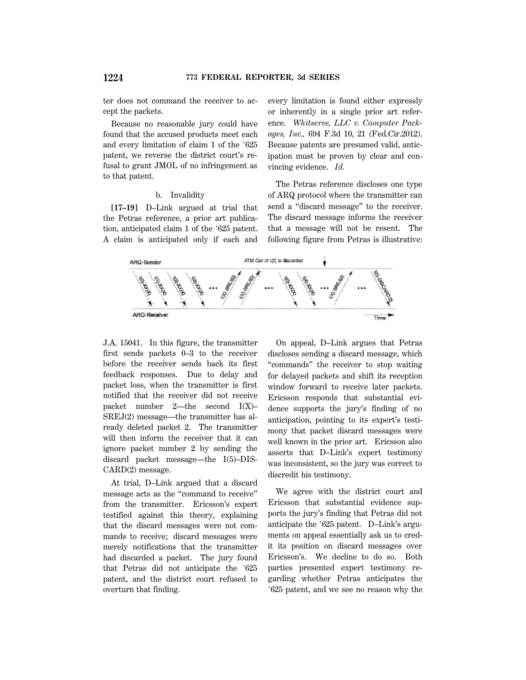ter does not command the receiver to accept the packets.

Because no reasonable jury could have found that the accused products meet each and every limitation of claim 1 of the '625 patent, we reverse the district court's refusal to grant JMOL of no infringement as to that patent.

#### b. Invalidity

**[17–19]** D–Link argued at trial that the Petras reference, a prior art publication, anticipated claim 1 of the '625 patent. A claim is anticipated only if each and

every limitation is found either expressly or inherently in a single prior art reference. *Whitserve, LLC v. Computer Packages, Inc.,* 694 F.3d 10, 21 (Fed.Cir.2012). Because patents are presumed valid, anticipation must be proven by clear and convincing evidence. *Id.*

The Petras reference discloses one type of ARQ protocol where the transmitter can send a ''discard message'' to the receiver. The discard message informs the receiver that a message will not be resent. The following figure from Petras is illustrative:



J.A. 15041. In this figure, the transmitter first sends packets 0–3 to the receiver before the receiver sends back its first feedback responses. Due to delay and packet loss, when the transmitter is first notified that the receiver did not receive packet number 2—the second I(X)– SREJ(2) message—the transmitter has already deleted packet 2. The transmitter will then inform the receiver that it can ignore packet number 2 by sending the discard packet message—the I(5)–DIS-CARD(2) message.

At trial, D–Link argued that a discard message acts as the ''command to receive'' from the transmitter. Ericsson's expert testified against this theory, explaining that the discard messages were not commands to receive; discard messages were merely notifications that the transmitter had discarded a packet. The jury found that Petras did not anticipate the '625 patent, and the district court refused to overturn that finding.

On appeal, D–Link argues that Petras discloses sending a discard message, which ''commands'' the receiver to stop waiting for delayed packets and shift its reception window forward to receive later packets. Ericsson responds that substantial evidence supports the jury's finding of no anticipation, pointing to its expert's testimony that packet discard messages were well known in the prior art. Ericsson also asserts that D–Link's expert testimony was inconsistent, so the jury was correct to discredit his testimony.

We agree with the district court and Ericsson that substantial evidence supports the jury's finding that Petras did not anticipate the  $'625$  patent. D–Link's arguments on appeal essentially ask us to credit its position on discard messages over Ericsson's. We decline to do so. Both parties presented expert testimony regarding whether Petras anticipates the 8625 patent, and we see no reason why the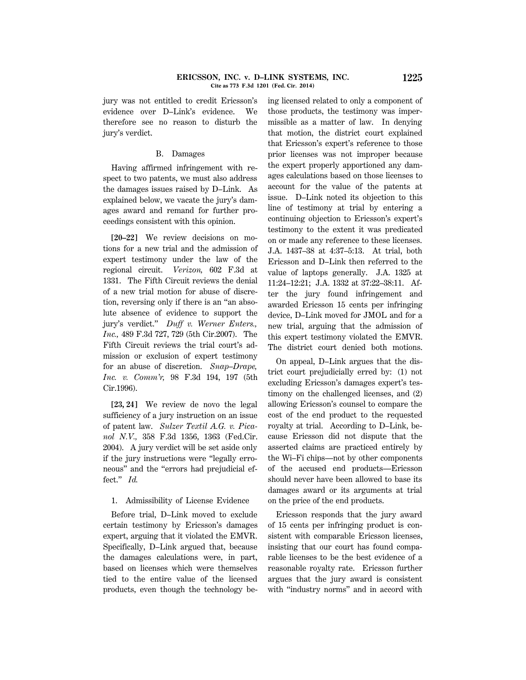jury was not entitled to credit Ericsson's evidence over D–Link's evidence. We therefore see no reason to disturb the jury's verdict.

#### B. Damages

Having affirmed infringement with respect to two patents, we must also address the damages issues raised by D–Link. As explained below, we vacate the jury's damages award and remand for further proceedings consistent with this opinion.

**[20–22]** We review decisions on motions for a new trial and the admission of expert testimony under the law of the regional circuit. *Verizon,* 602 F.3d at 1331. The Fifth Circuit reviews the denial of a new trial motion for abuse of discretion, reversing only if there is an ''an absolute absence of evidence to support the jury's verdict.'' *Duff v. Werner Enters., Inc.,* 489 F.3d 727, 729 (5th Cir.2007). The Fifth Circuit reviews the trial court's admission or exclusion of expert testimony for an abuse of discretion. *Snap–Drape, Inc. v. Comm'r,* 98 F.3d 194, 197 (5th Cir.1996).

**[23, 24]** We review de novo the legal sufficiency of a jury instruction on an issue of patent law. *Sulzer Textil A.G. v. Picanol N.V.,* 358 F.3d 1356, 1363 (Fed.Cir. 2004). A jury verdict will be set aside only if the jury instructions were ''legally erroneous'' and the ''errors had prejudicial effect.'' *Id.*

## 1. Admissibility of License Evidence

Before trial, D–Link moved to exclude certain testimony by Ericsson's damages expert, arguing that it violated the EMVR. Specifically, D–Link argued that, because the damages calculations were, in part, based on licenses which were themselves tied to the entire value of the licensed products, even though the technology being licensed related to only a component of those products, the testimony was impermissible as a matter of law. In denying that motion, the district court explained that Ericsson's expert's reference to those prior licenses was not improper because the expert properly apportioned any damages calculations based on those licenses to account for the value of the patents at issue. D–Link noted its objection to this line of testimony at trial by entering a continuing objection to Ericsson's expert's testimony to the extent it was predicated on or made any reference to these licenses. J.A. 1437–38 at 4:37–5:13. At trial, both Ericsson and D–Link then referred to the value of laptops generally. J.A. 1325 at 11:24–12:21; J.A. 1332 at 37:22–38:11. After the jury found infringement and awarded Ericsson 15 cents per infringing device, D–Link moved for JMOL and for a new trial, arguing that the admission of this expert testimony violated the EMVR. The district court denied both motions.

On appeal, D–Link argues that the district court prejudicially erred by: (1) not excluding Ericsson's damages expert's testimony on the challenged licenses, and (2) allowing Ericsson's counsel to compare the cost of the end product to the requested royalty at trial. According to D–Link, because Ericsson did not dispute that the asserted claims are practiced entirely by the Wi–Fi chips—not by other components of the accused end products—Ericsson should never have been allowed to base its damages award or its arguments at trial on the price of the end products.

Ericsson responds that the jury award of 15 cents per infringing product is consistent with comparable Ericsson licenses, insisting that our court has found comparable licenses to be the best evidence of a reasonable royalty rate. Ericsson further argues that the jury award is consistent with ''industry norms'' and in accord with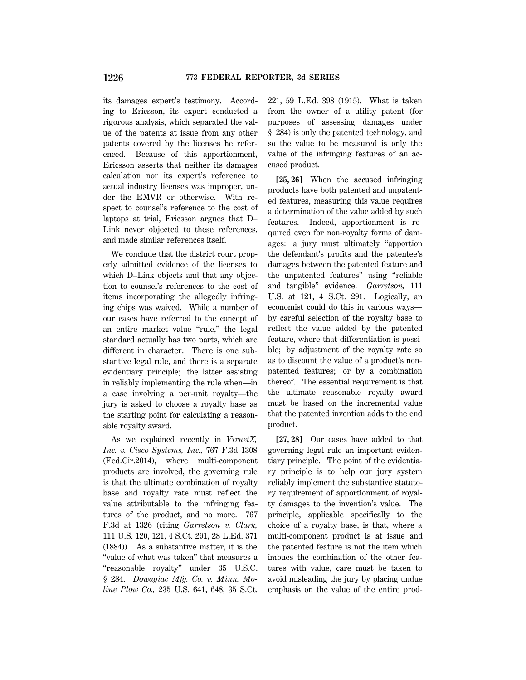its damages expert's testimony. According to Ericsson, its expert conducted a rigorous analysis, which separated the value of the patents at issue from any other patents covered by the licenses he referenced. Because of this apportionment, Ericsson asserts that neither its damages calculation nor its expert's reference to actual industry licenses was improper, under the EMVR or otherwise. With respect to counsel's reference to the cost of laptops at trial, Ericsson argues that D– Link never objected to these references, and made similar references itself.

We conclude that the district court properly admitted evidence of the licenses to which D–Link objects and that any objection to counsel's references to the cost of items incorporating the allegedly infringing chips was waived. While a number of our cases have referred to the concept of an entire market value "rule," the legal standard actually has two parts, which are different in character. There is one substantive legal rule, and there is a separate evidentiary principle; the latter assisting in reliably implementing the rule when—in a case involving a per-unit royalty—the jury is asked to choose a royalty base as the starting point for calculating a reasonable royalty award.

As we explained recently in *VirnetX, Inc. v. Cisco Systems, Inc.,* 767 F.3d 1308 (Fed.Cir.2014), where multi-component products are involved, the governing rule is that the ultimate combination of royalty base and royalty rate must reflect the value attributable to the infringing features of the product, and no more. 767 F.3d at 1326 (citing *Garretson v. Clark,* 111 U.S. 120, 121, 4 S.Ct. 291, 28 L.Ed. 371 (1884)). As a substantive matter, it is the "value of what was taken" that measures a ''reasonable royalty'' under 35 U.S.C. § 284. *Dowagiac Mfg. Co. v. Minn. Moline Plow Co.,* 235 U.S. 641, 648, 35 S.Ct. 221, 59 L.Ed. 398 (1915). What is taken from the owner of a utility patent (for purposes of assessing damages under § 284) is only the patented technology, and so the value to be measured is only the value of the infringing features of an accused product.

**[25, 26]** When the accused infringing products have both patented and unpatented features, measuring this value requires a determination of the value added by such features. Indeed, apportionment is required even for non-royalty forms of damages: a jury must ultimately ''apportion the defendant's profits and the patentee's damages between the patented feature and the unpatented features'' using ''reliable and tangible'' evidence. *Garretson,* 111 U.S. at 121, 4 S.Ct. 291. Logically, an economist could do this in various ways by careful selection of the royalty base to reflect the value added by the patented feature, where that differentiation is possible; by adjustment of the royalty rate so as to discount the value of a product's nonpatented features; or by a combination thereof. The essential requirement is that the ultimate reasonable royalty award must be based on the incremental value that the patented invention adds to the end product.

**[27, 28]** Our cases have added to that governing legal rule an important evidentiary principle. The point of the evidentiary principle is to help our jury system reliably implement the substantive statutory requirement of apportionment of royalty damages to the invention's value. The principle, applicable specifically to the choice of a royalty base, is that, where a multi-component product is at issue and the patented feature is not the item which imbues the combination of the other features with value, care must be taken to avoid misleading the jury by placing undue emphasis on the value of the entire prod-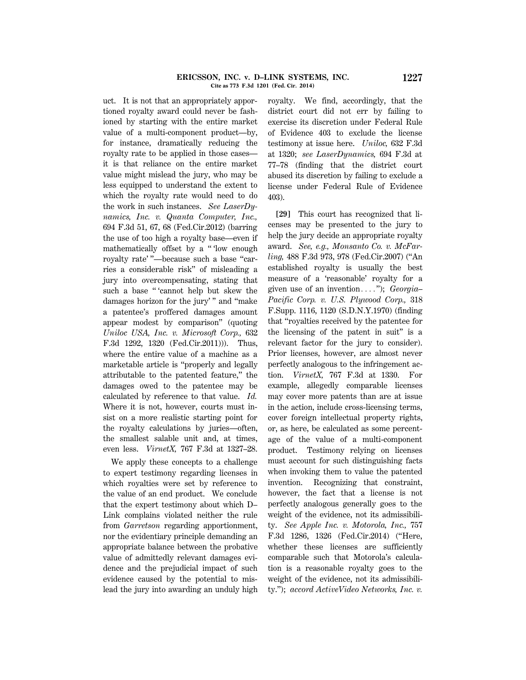#### **ERICSSON, INC. v. D–LINK SYSTEMS, INC. 1227 Cite as 773 F.3d 1201 (Fed. Cir. 2014)**

uct. It is not that an appropriately apportioned royalty award could never be fashioned by starting with the entire market value of a multi-component product—by, for instance, dramatically reducing the royalty rate to be applied in those cases it is that reliance on the entire market value might mislead the jury, who may be less equipped to understand the extent to which the royalty rate would need to do the work in such instances. *See LaserDynamics, Inc. v. Quanta Computer, Inc.,* 694 F.3d 51, 67, 68 (Fed.Cir.2012) (barring the use of too high a royalty base—even if mathematically offset by a '' 'low enough royalty rate' ''—because such a base ''carries a considerable risk'' of misleading a jury into overcompensating, stating that such a base "'cannot help but skew the damages horizon for the jury' '' and ''make a patentee's proffered damages amount appear modest by comparison'' (quoting *Uniloc USA, Inc. v. Microsoft Corp.,* 632 F.3d 1292, 1320 (Fed.Cir.2011))). Thus, where the entire value of a machine as a marketable article is ''properly and legally attributable to the patented feature,'' the damages owed to the patentee may be calculated by reference to that value. *Id.* Where it is not, however, courts must insist on a more realistic starting point for the royalty calculations by juries—often, the smallest salable unit and, at times, even less. *VirnetX,* 767 F.3d at 1327–28.

We apply these concepts to a challenge to expert testimony regarding licenses in which royalties were set by reference to the value of an end product. We conclude that the expert testimony about which D– Link complains violated neither the rule from *Garretson* regarding apportionment. nor the evidentiary principle demanding an appropriate balance between the probative value of admittedly relevant damages evidence and the prejudicial impact of such evidence caused by the potential to mislead the jury into awarding an unduly high royalty. We find, accordingly, that the district court did not err by failing to exercise its discretion under Federal Rule of Evidence 403 to exclude the license testimony at issue here. *Uniloc,* 632 F.3d at 1320; *see LaserDynamics,* 694 F.3d at 77–78 (finding that the district court abused its discretion by failing to exclude a license under Federal Rule of Evidence 403).

**[29]** This court has recognized that licenses may be presented to the jury to help the jury decide an appropriate royalty award. *See, e.g., Monsanto Co. v. McFarling,* 488 F.3d 973, 978 (Fed.Cir.2007) (''An established royalty is usually the best measure of a 'reasonable' royalty for a given use of an invention...."); *Georgia*-*Pacific Corp. v. U.S. Plywood Corp.,* 318 F.Supp. 1116, 1120 (S.D.N.Y.1970) (finding that ''royalties received by the patentee for the licensing of the patent in suit'' is a relevant factor for the jury to consider). Prior licenses, however, are almost never perfectly analogous to the infringement action. *VirnetX,* 767 F.3d at 1330. For example, allegedly comparable licenses may cover more patents than are at issue in the action, include cross-licensing terms, cover foreign intellectual property rights, or, as here, be calculated as some percentage of the value of a multi-component product. Testimony relying on licenses must account for such distinguishing facts when invoking them to value the patented invention. Recognizing that constraint, however, the fact that a license is not perfectly analogous generally goes to the weight of the evidence, not its admissibility. *See Apple Inc. v. Motorola, Inc.,* 757 F.3d 1286, 1326 (Fed.Cir.2014) (''Here, whether these licenses are sufficiently comparable such that Motorola's calculation is a reasonable royalty goes to the weight of the evidence, not its admissibility.''); *accord ActiveVideo Networks, Inc. v.*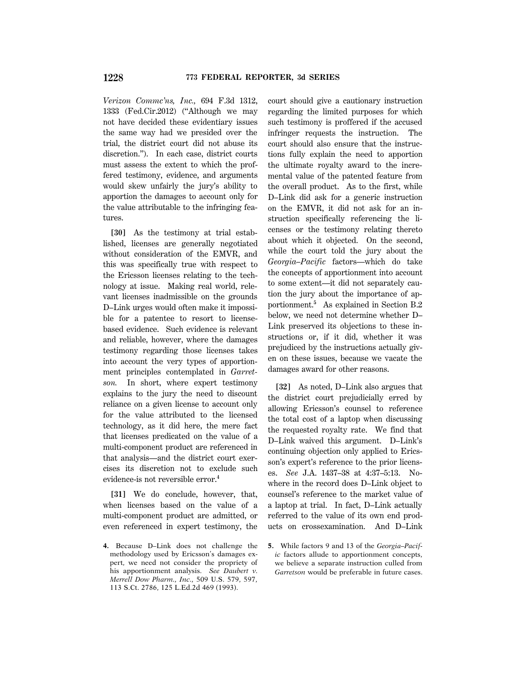*Verizon Commc'ns, Inc.,* 694 F.3d 1312, 1333 (Fed.Cir.2012) (''Although we may not have decided these evidentiary issues the same way had we presided over the trial, the district court did not abuse its discretion.''). In each case, district courts must assess the extent to which the proffered testimony, evidence, and arguments would skew unfairly the jury's ability to apportion the damages to account only for the value attributable to the infringing features.

**[30]** As the testimony at trial established, licenses are generally negotiated without consideration of the EMVR, and this was specifically true with respect to the Ericsson licenses relating to the technology at issue. Making real world, relevant licenses inadmissible on the grounds D–Link urges would often make it impossible for a patentee to resort to licensebased evidence. Such evidence is relevant and reliable, however, where the damages testimony regarding those licenses takes into account the very types of apportionment principles contemplated in *Garretson.* In short, where expert testimony explains to the jury the need to discount reliance on a given license to account only for the value attributed to the licensed technology, as it did here, the mere fact that licenses predicated on the value of a multi-component product are referenced in that analysis—and the district court exercises its discretion not to exclude such evidence-is not reversible error.**<sup>4</sup>**

[31] We do conclude, however, that, when licenses based on the value of a multi-component product are admitted, or even referenced in expert testimony, the court should give a cautionary instruction regarding the limited purposes for which such testimony is proffered if the accused infringer requests the instruction. The court should also ensure that the instructions fully explain the need to apportion the ultimate royalty award to the incremental value of the patented feature from the overall product. As to the first, while D–Link did ask for a generic instruction on the EMVR, it did not ask for an instruction specifically referencing the licenses or the testimony relating thereto about which it objected. On the second, while the court told the jury about the *Georgia–Pacific* factors—which do take the concepts of apportionment into account to some extent—it did not separately caution the jury about the importance of apportionment.**<sup>5</sup>** As explained in Section B.2 below, we need not determine whether D– Link preserved its objections to these instructions or, if it did, whether it was prejudiced by the instructions actually given on these issues, because we vacate the damages award for other reasons.

**[32]** As noted, D–Link also argues that the district court prejudicially erred by allowing Ericsson's counsel to reference the total cost of a laptop when discussing the requested royalty rate. We find that D–Link waived this argument. D–Link's continuing objection only applied to Ericsson's expert's reference to the prior licenses. *See* J.A. 1437–38 at 4:37–5:13. Nowhere in the record does D–Link object to counsel's reference to the market value of a laptop at trial. In fact, D–Link actually referred to the value of its own end products on crossexamination. And D–Link

**5.** While factors 9 and 13 of the *Georgia–Pacific* factors allude to apportionment concepts, we believe a separate instruction culled from *Garretson* would be preferable in future cases.

**<sup>4.</sup>** Because D–Link does not challenge the methodology used by Ericsson's damages expert, we need not consider the propriety of his apportionment analysis. *See Daubert v. Merrell Dow Pharm., Inc.,* 509 U.S. 579, 597, 113 S.Ct. 2786, 125 L.Ed.2d 469 (1993).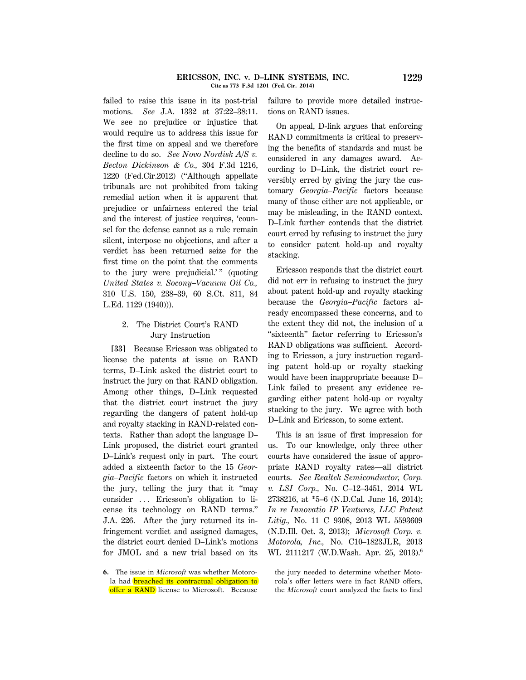#### **ERICSSON, INC. v. D–LINK SYSTEMS, INC. 1229 Cite as 773 F.3d 1201 (Fed. Cir. 2014)**

failed to raise this issue in its post-trial motions. *See* J.A. 1332 at 37:22–38:11. We see no prejudice or injustice that would require us to address this issue for the first time on appeal and we therefore decline to do so. *See Novo Nordisk A/S v. Becton Dickinson & Co.,* 304 F.3d 1216, 1220 (Fed.Cir.2012) (''Although appellate tribunals are not prohibited from taking remedial action when it is apparent that prejudice or unfairness entered the trial and the interest of justice requires, 'counsel for the defense cannot as a rule remain silent, interpose no objections, and after a verdict has been returned seize for the first time on the point that the comments to the jury were prejudicial.'" (quoting *United States v. Socony–Vacuum Oil Co.,* 310 U.S. 150, 238–39, 60 S.Ct. 811, 84 L.Ed. 1129 (1940))).

## 2. The District Court's RAND Jury Instruction

**[33]** Because Ericsson was obligated to license the patents at issue on RAND terms, D–Link asked the district court to instruct the jury on that RAND obligation. Among other things, D–Link requested that the district court instruct the jury regarding the dangers of patent hold-up and royalty stacking in RAND-related contexts. Rather than adopt the language D– Link proposed, the district court granted D–Link's request only in part. The court added a sixteenth factor to the 15 *Georgia–Pacific* factors on which it instructed the jury, telling the jury that it ''may consider ... Ericsson's obligation to license its technology on RAND terms.'' J.A. 226. After the jury returned its infringement verdict and assigned damages, the district court denied D–Link's motions for JMOL and a new trial based on its failure to provide more detailed instructions on RAND issues.

On appeal, D-link argues that enforcing RAND commitments is critical to preserving the benefits of standards and must be considered in any damages award. According to D–Link, the district court reversibly erred by giving the jury the customary *Georgia–Pacific* factors because many of those either are not applicable, or may be misleading, in the RAND context. D–Link further contends that the district court erred by refusing to instruct the jury to consider patent hold-up and royalty stacking.

Ericsson responds that the district court did not err in refusing to instruct the jury about patent hold-up and royalty stacking because the *Georgia–Pacific* factors already encompassed these concerns, and to the extent they did not, the inclusion of a "sixteenth" factor referring to Ericsson's RAND obligations was sufficient. According to Ericsson, a jury instruction regarding patent hold-up or royalty stacking would have been inappropriate because D– Link failed to present any evidence regarding either patent hold-up or royalty stacking to the jury. We agree with both D–Link and Ericsson, to some extent.

This is an issue of first impression for us. To our knowledge, only three other courts have considered the issue of appropriate RAND royalty rates—all district courts. *See Realtek Semiconductor, Corp. v. LSI Corp.,* No. C–12–3451, 2014 WL 2738216, at \*5–6 (N.D.Cal. June 16, 2014); *In re Innovatio IP Ventures, LLC Patent Litig.,* No. 11 C 9308, 2013 WL 5593609 (N.D.Ill. Oct. 3, 2013); *Microsoft Corp. v. Motorola, Inc.,* No. C10–1823JLR, 2013 WL 2111217 (W.D.Wash. Apr. 25, 2013).**<sup>6</sup>**

the jury needed to determine whether Motorola's offer letters were in fact RAND offers, the *Microsoft* court analyzed the facts to find

**<sup>6.</sup>** The issue in *Microsoft* was whether Motorola had **breached** its contractual obligation to offer a RAND license to Microsoft. Because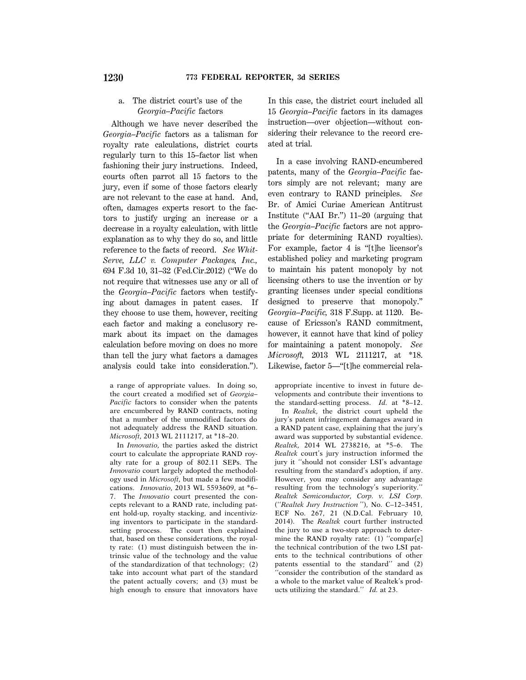## a. The district court's use of the *Georgia–Pacific* factors

Although we have never described the *Georgia–Pacific* factors as a talisman for royalty rate calculations, district courts regularly turn to this 15–factor list when fashioning their jury instructions. Indeed, courts often parrot all 15 factors to the jury, even if some of those factors clearly are not relevant to the case at hand. And, often, damages experts resort to the factors to justify urging an increase or a decrease in a royalty calculation, with little explanation as to why they do so, and little reference to the facts of record. *See Whit-Serve, LLC v. Computer Packages, Inc.,* 694 F.3d 10, 31–32 (Fed.Cir.2012) (''We do not require that witnesses use any or all of the *Georgia–Pacific* factors when testifying about damages in patent cases. If they choose to use them, however, reciting each factor and making a conclusory remark about its impact on the damages calculation before moving on does no more than tell the jury what factors a damages analysis could take into consideration.'').

a range of appropriate values. In doing so, the court created a modified set of *Georgia– Pacific* factors to consider when the patents are encumbered by RAND contracts, noting that a number of the unmodified factors do not adequately address the RAND situation. *Microsoft,* 2013 WL 2111217, at \*18–20.

In *Innovatio,* the parties asked the district court to calculate the appropriate RAND royalty rate for a group of 802.11 SEPs. The *Innovatio* court largely adopted the methodology used in *Microsoft,* but made a few modifications. *Innovatio,* 2013 WL 5593609, at \*6– 7. The *Innovatio* court presented the concepts relevant to a RAND rate, including patent hold-up, royalty stacking, and incentivizing inventors to participate in the standardsetting process. The court then explained that, based on these considerations, the royalty rate: (1) must distinguish between the intrinsic value of the technology and the value of the standardization of that technology; (2) take into account what part of the standard the patent actually covers; and (3) must be high enough to ensure that innovators have

In this case, the district court included all 15 *Georgia–Pacific* factors in its damages instruction—over objection—without considering their relevance to the record created at trial.

In a case involving RAND-encumbered patents, many of the *Georgia–Pacific* factors simply are not relevant; many are even contrary to RAND principles. *See* Br. of Amici Curiae American Antitrust Institute (''AAI Br.'') 11–20 (arguing that the *Georgia–Pacific* factors are not appropriate for determining RAND royalties). For example, factor 4 is ''[t]he licensor's established policy and marketing program to maintain his patent monopoly by not licensing others to use the invention or by granting licenses under special conditions designed to preserve that monopoly.'' *Georgia–Pacific,* 318 F.Supp. at 1120. Because of Ericsson's RAND commitment, however, it cannot have that kind of policy for maintaining a patent monopoly. *See Microsoft,* 2013 WL 2111217, at \*18. Likewise, factor 5—"[t]he commercial rela-

appropriate incentive to invest in future developments and contribute their inventions to the standard-setting process. *Id.* at \*8–12.

In *Realtek,* the district court upheld the jury's patent infringement damages award in a RAND patent case, explaining that the jury's award was supported by substantial evidence. *Realtek,* 2014 WL 2738216, at \*5–6. The *Realtek* court's jury instruction informed the jury it ''should not consider LSI's advantage resulting from the standard's adoption, if any. However, you may consider any advantage resulting from the technology's superiority.'' *Realtek Semiconductor, Corp. v. LSI Corp.* (''*Realtek Jury Instruction* ''), No. C–12–3451, ECF No. 267, 21 (N.D.Cal. February 10, 2014). The *Realtek* court further instructed the jury to use a two-step approach to determine the RAND royalty rate: (1) ''compar[e] the technical contribution of the two LSI patents to the technical contributions of other patents essential to the standard'' and (2) 'consider the contribution of the standard as a whole to the market value of Realtek's products utilizing the standard.'' *Id.* at 23.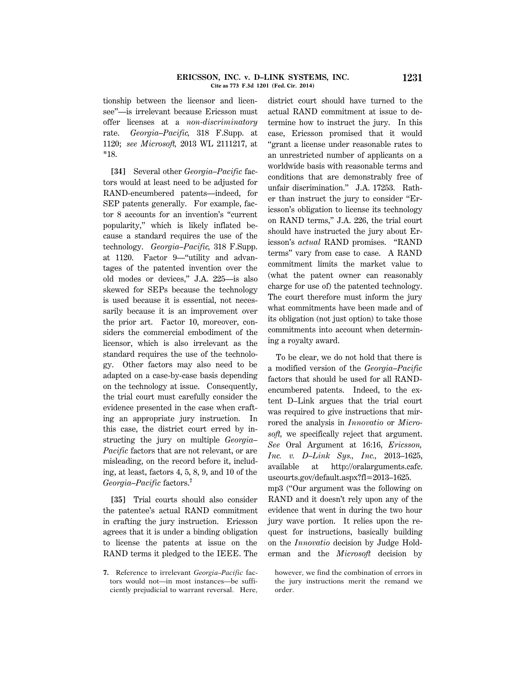#### **ERICSSON, INC. v. D–LINK SYSTEMS, INC. 1231 Cite as 773 F.3d 1201 (Fed. Cir. 2014)**

tionship between the licensor and licensee''—is irrelevant because Ericsson must offer licenses at a *non-discriminatory* rate. *Georgia–Pacific,* 318 F.Supp. at 1120; *see Microsoft,* 2013 WL 2111217, at \*18.

**[34]** Several other *Georgia–Pacific* factors would at least need to be adjusted for RAND-encumbered patents—indeed, for SEP patents generally. For example, factor 8 accounts for an invention's ''current popularity,'' which is likely inflated because a standard requires the use of the technology. *Georgia–Pacific,* 318 F.Supp. at 1120. Factor 9—''utility and advantages of the patented invention over the old modes or devices,'' J.A. 225—is also skewed for SEPs because the technology is used because it is essential, not necessarily because it is an improvement over the prior art. Factor 10, moreover, considers the commercial embodiment of the licensor, which is also irrelevant as the standard requires the use of the technology. Other factors may also need to be adapted on a case-by-case basis depending on the technology at issue. Consequently, the trial court must carefully consider the evidence presented in the case when crafting an appropriate jury instruction. In this case, the district court erred by instructing the jury on multiple *Georgia– Pacific* factors that are not relevant, or are misleading, on the record before it, including, at least, factors 4, 5, 8, 9, and 10 of the *Georgia–Pacific* factors.**<sup>7</sup>**

**[35]** Trial courts should also consider the patentee's actual RAND commitment in crafting the jury instruction. Ericsson agrees that it is under a binding obligation to license the patents at issue on the RAND terms it pledged to the IEEE. The

**7.** Reference to irrelevant *Georgia–Pacific* factors would not—in most instances—be sufficiently prejudicial to warrant reversal. Here, district court should have turned to the actual RAND commitment at issue to determine how to instruct the jury. In this case, Ericsson promised that it would ''grant a license under reasonable rates to an unrestricted number of applicants on a worldwide basis with reasonable terms and conditions that are demonstrably free of unfair discrimination.'' J.A. 17253. Rather than instruct the jury to consider ''Ericsson's obligation to license its technology on RAND terms,'' J.A. 226, the trial court should have instructed the jury about Ericsson's *actual* RAND promises. ''RAND terms'' vary from case to case. A RAND commitment limits the market value to (what the patent owner can reasonably charge for use of) the patented technology. The court therefore must inform the jury what commitments have been made and of its obligation (not just option) to take those commitments into account when determining a royalty award.

To be clear, we do not hold that there is a modified version of the *Georgia–Pacific* factors that should be used for all RANDencumbered patents. Indeed, to the extent D–Link argues that the trial court was required to give instructions that mirrored the analysis in *Innovatio* or *Microsoft,* we specifically reject that argument. *See* Oral Argument at 16:16, *Ericsson, Inc. v. D–Link Sys., Inc.,* 2013–1625, available at http://oralarguments.cafc. uscourts.gov/default.aspx?fl=2013–1625.

mp3 ("Our argument was the following on RAND and it doesn't rely upon any of the evidence that went in during the two hour jury wave portion. It relies upon the request for instructions, basically building on the *Innovatio* decision by Judge Holderman and the *Microsoft* decision by

however, we find the combination of errors in the jury instructions merit the remand we order.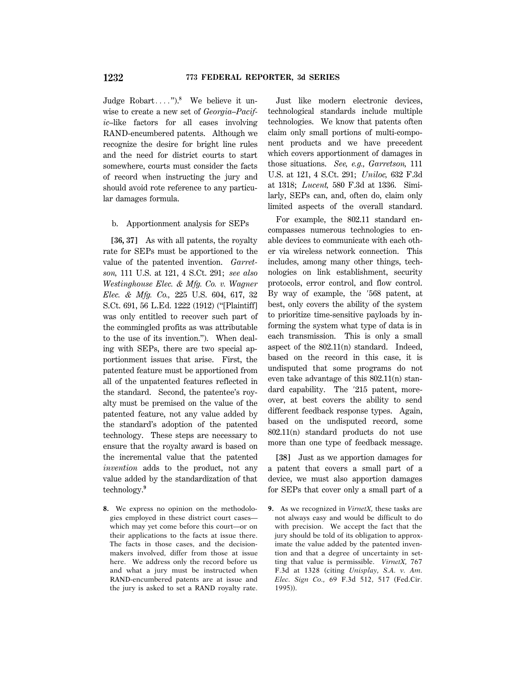Judge Robart....").<sup>8</sup> We believe it unwise to create a new set of *Georgia–Pacific*–like factors for all cases involving RAND-encumbered patents. Although we recognize the desire for bright line rules and the need for district courts to start somewhere, courts must consider the facts of record when instructing the jury and should avoid rote reference to any particular damages formula.

#### b. Apportionment analysis for SEPs

**[36, 37]** As with all patents, the royalty rate for SEPs must be apportioned to the value of the patented invention. *Garretson,* 111 U.S. at 121, 4 S.Ct. 291; *see also Westinghouse Elec. & Mfg. Co. v. Wagner Elec. & Mfg. Co.,* 225 U.S. 604, 617, 32 S.Ct. 691, 56 L.Ed. 1222 (1912) (''[Plaintiff] was only entitled to recover such part of the commingled profits as was attributable to the use of its invention.''). When dealing with SEPs, there are two special apportionment issues that arise. First, the patented feature must be apportioned from all of the unpatented features reflected in the standard. Second, the patentee's royalty must be premised on the value of the patented feature, not any value added by the standard's adoption of the patented technology. These steps are necessary to ensure that the royalty award is based on the incremental value that the patented *invention* adds to the product, not any value added by the standardization of that technology.**<sup>9</sup>**

**8.** We express no opinion on the methodologies employed in these district court cases which may yet come before this court—or on their applications to the facts at issue there. The facts in those cases, and the decisionmakers involved, differ from those at issue here. We address only the record before us and what a jury must be instructed when RAND-encumbered patents are at issue and the jury is asked to set a RAND royalty rate.

Just like modern electronic devices, technological standards include multiple technologies. We know that patents often claim only small portions of multi-component products and we have precedent which covers apportionment of damages in those situations. *See, e.g., Garretson,* 111 U.S. at 121, 4 S.Ct. 291; *Uniloc,* 632 F.3d at 1318; *Lucent,* 580 F.3d at 1336. Similarly, SEPs can, and, often do, claim only limited aspects of the overall standard.

For example, the 802.11 standard encompasses numerous technologies to enable devices to communicate with each other via wireless network connection. This includes, among many other things, technologies on link establishment, security protocols, error control, and flow control. By way of example, the '568 patent, at best, only covers the ability of the system to prioritize time-sensitive payloads by informing the system what type of data is in each transmission. This is only a small aspect of the 802.11(n) standard. Indeed, based on the record in this case, it is undisputed that some programs do not even take advantage of this 802.11(n) standard capability. The '215 patent, moreover, at best covers the ability to send different feedback response types. Again, based on the undisputed record, some 802.11(n) standard products do not use more than one type of feedback message.

**[38]** Just as we apportion damages for a patent that covers a small part of a device, we must also apportion damages for SEPs that cover only a small part of a

**9.** As we recognized in *VirnetX,* these tasks are not always easy and would be difficult to do with precision. We accept the fact that the jury should be told of its obligation to approximate the value added by the patented invention and that a degree of uncertainty in setting that value is permissible. *VirnetX,* 767 F.3d at 1328 (citing *Unisplay, S.A. v. Am. Elec. Sign Co.,* 69 F.3d 512, 517 (Fed.Cir. 1995)).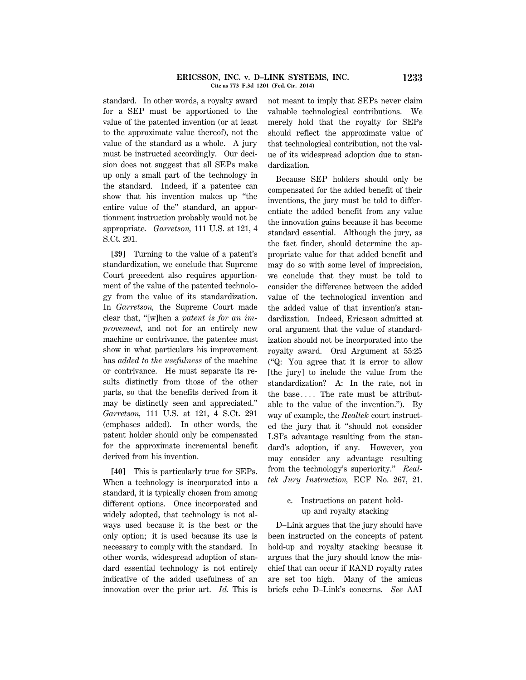#### **ERICSSON, INC. v. D–LINK SYSTEMS, INC. 1233 Cite as 773 F.3d 1201 (Fed. Cir. 2014)**

standard. In other words, a royalty award for a SEP must be apportioned to the value of the patented invention (or at least to the approximate value thereof), not the value of the standard as a whole. A jury must be instructed accordingly. Our decision does not suggest that all SEPs make up only a small part of the technology in the standard. Indeed, if a patentee can show that his invention makes up ''the entire value of the'' standard, an apportionment instruction probably would not be appropriate. *Garretson,* 111 U.S. at 121, 4 S.Ct. 291.

**[39]** Turning to the value of a patent's standardization, we conclude that Supreme Court precedent also requires apportionment of the value of the patented technology from the value of its standardization. In *Garretson,* the Supreme Court made clear that, ''[w]hen a *patent is for an improvement,* and not for an entirely new machine or contrivance, the patentee must show in what particulars his improvement has *added to the usefulness* of the machine or contrivance. He must separate its results distinctly from those of the other parts, so that the benefits derived from it may be distinctly seen and appreciated.'' *Garretson,* 111 U.S. at 121, 4 S.Ct. 291 (emphases added). In other words, the patent holder should only be compensated for the approximate incremental benefit derived from his invention.

**[40]** This is particularly true for SEPs. When a technology is incorporated into a standard, it is typically chosen from among different options. Once incorporated and widely adopted, that technology is not always used because it is the best or the only option; it is used because its use is necessary to comply with the standard. In other words, widespread adoption of standard essential technology is not entirely indicative of the added usefulness of an innovation over the prior art. *Id.* This is

not meant to imply that SEPs never claim valuable technological contributions. We merely hold that the royalty for SEPs should reflect the approximate value of that technological contribution, not the value of its widespread adoption due to standardization.

Because SEP holders should only be compensated for the added benefit of their inventions, the jury must be told to differentiate the added benefit from any value the innovation gains because it has become standard essential. Although the jury, as the fact finder, should determine the appropriate value for that added benefit and may do so with some level of imprecision, we conclude that they must be told to consider the difference between the added value of the technological invention and the added value of that invention's standardization. Indeed, Ericsson admitted at oral argument that the value of standardization should not be incorporated into the royalty award. Oral Argument at 55:25 (''Q: You agree that it is error to allow [the jury] to include the value from the standardization? A: In the rate, not in the base.... The rate must be attributable to the value of the invention.''). By way of example, the *Realtek* court instructed the jury that it ''should not consider LSI's advantage resulting from the standard's adoption, if any. However, you may consider any advantage resulting from the technology's superiority.'' *Realtek Jury Instruction,* ECF No. 267, 21.

## c. Instructions on patent holdup and royalty stacking

D–Link argues that the jury should have been instructed on the concepts of patent hold-up and royalty stacking because it argues that the jury should know the mischief that can occur if RAND royalty rates are set too high. Many of the amicus briefs echo D–Link's concerns. *See* AAI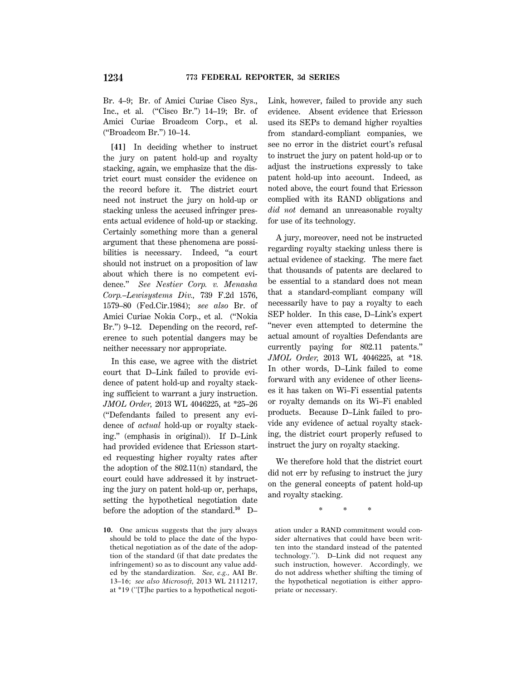Br. 4–9; Br. of Amici Curiae Cisco Sys., Inc., et al. (''Cisco Br.'') 14–19; Br. of Amici Curiae Broadcom Corp., et al. (''Broadcom Br.'') 10–14.

**[41]** In deciding whether to instruct the jury on patent hold-up and royalty stacking, again, we emphasize that the district court must consider the evidence on the record before it. The district court need not instruct the jury on hold-up or stacking unless the accused infringer presents actual evidence of hold-up or stacking. Certainly something more than a general argument that these phenomena are possibilities is necessary. Indeed, "a court should not instruct on a proposition of law about which there is no competent evidence.'' *See Nestier Corp. v. Menasha Corp.–Lewisystems Div.,* 739 F.2d 1576, 1579–80 (Fed.Cir.1984); *see also* Br. of Amici Curiae Nokia Corp., et al. (''Nokia Br.'') 9–12. Depending on the record, reference to such potential dangers may be neither necessary nor appropriate.

In this case, we agree with the district court that D–Link failed to provide evidence of patent hold-up and royalty stacking sufficient to warrant a jury instruction. *JMOL Order,* 2013 WL 4046225, at \*25–26 (''Defendants failed to present any evidence of *actual* hold-up or royalty stacking.'' (emphasis in original)). If D–Link had provided evidence that Ericsson started requesting higher royalty rates after the adoption of the 802.11(n) standard, the court could have addressed it by instructing the jury on patent hold-up or, perhaps, setting the hypothetical negotiation date before the adoption of the standard.**<sup>10</sup>** D–

Link, however, failed to provide any such evidence. Absent evidence that Ericsson used its SEPs to demand higher royalties from standard-compliant companies, we see no error in the district court's refusal to instruct the jury on patent hold-up or to adjust the instructions expressly to take patent hold-up into account. Indeed, as noted above, the court found that Ericsson complied with its RAND obligations and *did not* demand an unreasonable royalty for use of its technology.

A jury, moreover, need not be instructed regarding royalty stacking unless there is actual evidence of stacking. The mere fact that thousands of patents are declared to be essential to a standard does not mean that a standard-compliant company will necessarily have to pay a royalty to each SEP holder. In this case, D–Link's expert "never even attempted to determine the actual amount of royalties Defendants are currently paying for 802.11 patents.'' *JMOL Order,* 2013 WL 4046225, at \*18. In other words, D–Link failed to come forward with any evidence of other licenses it has taken on Wi–Fi essential patents or royalty demands on its Wi–Fi enabled products. Because D–Link failed to provide any evidence of actual royalty stacking, the district court properly refused to instruct the jury on royalty stacking.

We therefore hold that the district court did not err by refusing to instruct the jury on the general concepts of patent hold-up and royalty stacking.

\* \* \*

ation under a RAND commitment would consider alternatives that could have been written into the standard instead of the patented technology.''). D–Link did not request any such instruction, however. Accordingly, we do not address whether shifting the timing of the hypothetical negotiation is either appropriate or necessary.

**<sup>10.</sup>** One amicus suggests that the jury always should be told to place the date of the hypothetical negotiation as of the date of the adoption of the standard (if that date predates the infringement) so as to discount any value added by the standardization. *See, e.g.,* AAI Br. 13–16; *see also Microsoft,* 2013 WL 2111217, at \*19 (''[T]he parties to a hypothetical negoti-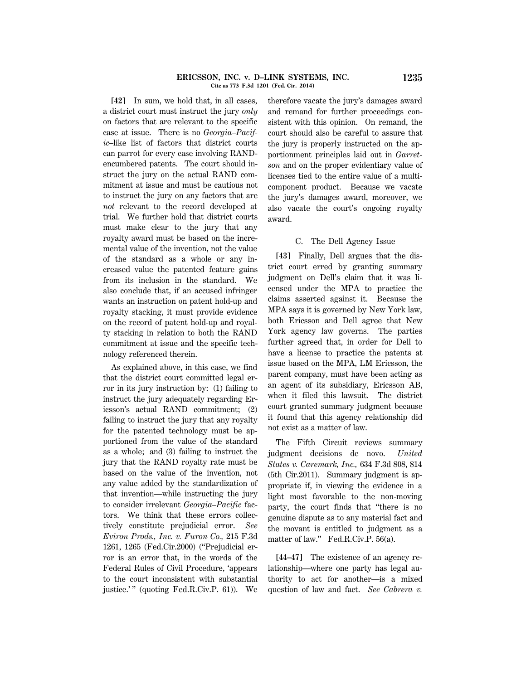#### **ERICSSON, INC. v. D–LINK SYSTEMS, INC. 1235 Cite as 773 F.3d 1201 (Fed. Cir. 2014)**

**[42]** In sum, we hold that, in all cases, a district court must instruct the jury *only* on factors that are relevant to the specific case at issue. There is no *Georgia–Pacific*–like list of factors that district courts can parrot for every case involving RANDencumbered patents. The court should instruct the jury on the actual RAND commitment at issue and must be cautious not to instruct the jury on any factors that are *not* relevant to the record developed at trial. We further hold that district courts must make clear to the jury that any royalty award must be based on the incremental value of the invention, not the value of the standard as a whole or any increased value the patented feature gains from its inclusion in the standard. We also conclude that, if an accused infringer wants an instruction on patent hold-up and royalty stacking, it must provide evidence on the record of patent hold-up and royalty stacking in relation to both the RAND commitment at issue and the specific technology referenced therein.

As explained above, in this case, we find that the district court committed legal error in its jury instruction by: (1) failing to instruct the jury adequately regarding Ericsson's actual RAND commitment; (2) failing to instruct the jury that any royalty for the patented technology must be apportioned from the value of the standard as a whole; and (3) failing to instruct the jury that the RAND royalty rate must be based on the value of the invention, not any value added by the standardization of that invention—while instructing the jury to consider irrelevant *Georgia–Pacific* factors. We think that these errors collectively constitute prejudicial error. *See Eviron Prods., Inc. v. Furon Co.,* 215 F.3d 1261, 1265 (Fed.Cir.2000) (''Prejudicial error is an error that, in the words of the Federal Rules of Civil Procedure, 'appears to the court inconsistent with substantial justice.'" (quoting Fed.R.Civ.P. 61)). We therefore vacate the jury's damages award and remand for further proceedings consistent with this opinion. On remand, the court should also be careful to assure that the jury is properly instructed on the apportionment principles laid out in *Garretson* and on the proper evidentiary value of licenses tied to the entire value of a multicomponent product. Because we vacate the jury's damages award, moreover, we also vacate the court's ongoing royalty award.

## C. The Dell Agency Issue

**[43]** Finally, Dell argues that the district court erred by granting summary judgment on Dell's claim that it was licensed under the MPA to practice the claims asserted against it. Because the MPA says it is governed by New York law, both Ericsson and Dell agree that New York agency law governs. The parties further agreed that, in order for Dell to have a license to practice the patents at issue based on the MPA, LM Ericsson, the parent company, must have been acting as an agent of its subsidiary, Ericsson AB, when it filed this lawsuit. The district court granted summary judgment because it found that this agency relationship did not exist as a matter of law.

The Fifth Circuit reviews summary judgment decisions de novo. *United States v. Caremark, Inc.,* 634 F.3d 808, 814 (5th Cir.2011). Summary judgment is appropriate if, in viewing the evidence in a light most favorable to the non-moving party, the court finds that ''there is no genuine dispute as to any material fact and the movant is entitled to judgment as a matter of law.'' Fed.R.Civ.P. 56(a).

**[44–47]** The existence of an agency relationship—where one party has legal authority to act for another—is a mixed question of law and fact. *See Cabrera v.*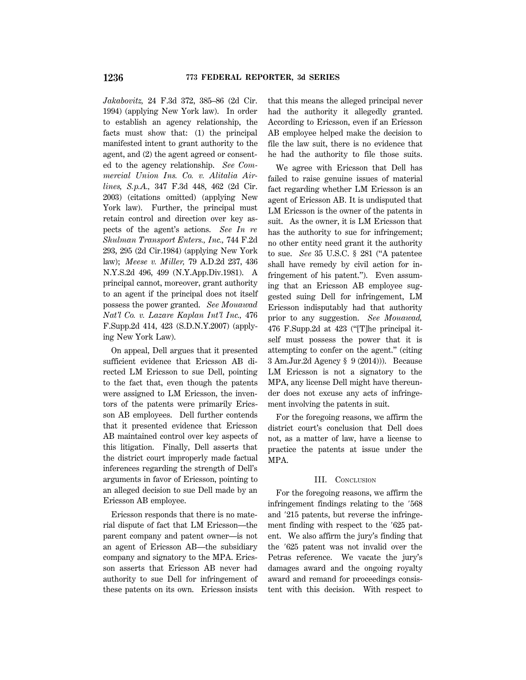*Jakabovitz,* 24 F.3d 372, 385–86 (2d Cir. 1994) (applying New York law). In order to establish an agency relationship, the facts must show that: (1) the principal manifested intent to grant authority to the agent, and (2) the agent agreed or consented to the agency relationship. *See Commercial Union Ins. Co. v. Alitalia Airlines, S.p.A.,* 347 F.3d 448, 462 (2d Cir. 2003) (citations omitted) (applying New York law). Further, the principal must retain control and direction over key aspects of the agent's actions. *See In re Shulman Transport Enters., Inc.,* 744 F.2d 293, 295 (2d Cir.1984) (applying New York law); *Meese v. Miller,* 79 A.D.2d 237, 436 N.Y.S.2d 496, 499 (N.Y.App.Div.1981). A principal cannot, moreover, grant authority to an agent if the principal does not itself possess the power granted. *See Mouawad Nat'l Co. v. Lazare Kaplan Int'l Inc.,* 476 F.Supp.2d 414, 423 (S.D.N.Y.2007) (applying New York Law).

On appeal, Dell argues that it presented sufficient evidence that Ericsson AB directed LM Ericsson to sue Dell, pointing to the fact that, even though the patents were assigned to LM Ericsson, the inventors of the patents were primarily Ericsson AB employees. Dell further contends that it presented evidence that Ericsson AB maintained control over key aspects of this litigation. Finally, Dell asserts that the district court improperly made factual inferences regarding the strength of Dell's arguments in favor of Ericsson, pointing to an alleged decision to sue Dell made by an Ericsson AB employee.

Ericsson responds that there is no material dispute of fact that LM Ericsson—the parent company and patent owner—is not an agent of Ericsson AB—the subsidiary company and signatory to the MPA. Ericsson asserts that Ericsson AB never had authority to sue Dell for infringement of these patents on its own. Ericsson insists that this means the alleged principal never had the authority it allegedly granted. According to Ericsson, even if an Ericsson AB employee helped make the decision to file the law suit, there is no evidence that he had the authority to file those suits.

We agree with Ericsson that Dell has failed to raise genuine issues of material fact regarding whether LM Ericsson is an agent of Ericsson AB. It is undisputed that LM Ericsson is the owner of the patents in suit. As the owner, it is LM Ericsson that has the authority to sue for infringement; no other entity need grant it the authority to sue. *See* 35 U.S.C. § 281 (''A patentee shall have remedy by civil action for infringement of his patent.''). Even assuming that an Ericsson AB employee suggested suing Dell for infringement, LM Ericsson indisputably had that authority prior to any suggestion. *See Mouawad,* 476 F.Supp.2d at 423 (''[T]he principal itself must possess the power that it is attempting to confer on the agent.'' (citing 3 Am.Jur.2d Agency § 9 (2014))). Because LM Ericsson is not a signatory to the MPA, any license Dell might have thereunder does not excuse any acts of infringement involving the patents in suit.

For the foregoing reasons, we affirm the district court's conclusion that Dell does not, as a matter of law, have a license to practice the patents at issue under the MPA.

#### III. CONCLUSION

For the foregoing reasons, we affirm the infringement findings relating to the  $1568$ and  $'215$  patents, but reverse the infringement finding with respect to the '625 patent. We also affirm the jury's finding that the '625 patent was not invalid over the Petras reference. We vacate the jury's damages award and the ongoing royalty award and remand for proceedings consistent with this decision. With respect to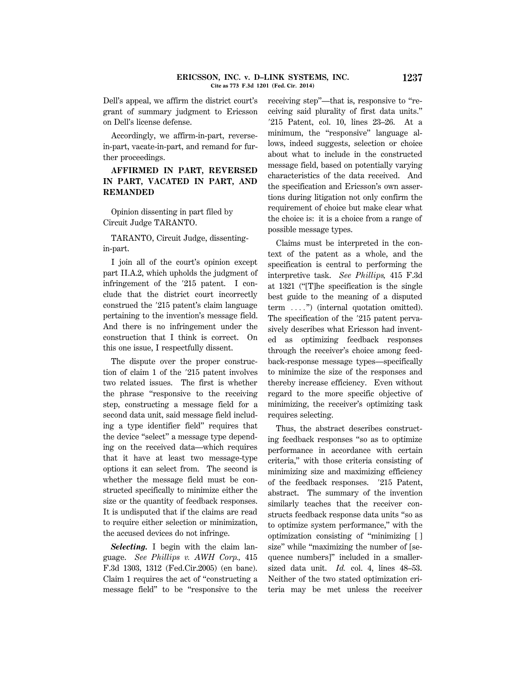Dell's appeal, we affirm the district court's grant of summary judgment to Ericsson on Dell's license defense.

Accordingly, we affirm-in-part, reversein-part, vacate-in-part, and remand for further proceedings.

## **AFFIRMED IN PART, REVERSED IN PART, VACATED IN PART, AND REMANDED**

Opinion dissenting in part filed by Circuit Judge TARANTO.

TARANTO, Circuit Judge, dissentingin-part.

I join all of the court's opinion except part II.A.2, which upholds the judgment of infringement of the  $'215$  patent. I conclude that the district court incorrectly construed the '215 patent's claim language pertaining to the invention's message field. And there is no infringement under the construction that I think is correct. On this one issue, I respectfully dissent.

The dispute over the proper construction of claim  $1$  of the  $'215$  patent involves two related issues. The first is whether the phrase ''responsive to the receiving step, constructing a message field for a second data unit, said message field including a type identifier field'' requires that the device "select" a message type depending on the received data—which requires that it have at least two message-type options it can select from. The second is whether the message field must be constructed specifically to minimize either the size or the quantity of feedback responses. It is undisputed that if the claims are read to require either selection or minimization, the accused devices do not infringe.

*Selecting.* I begin with the claim language. *See Phillips v. AWH Corp.,* 415 F.3d 1303, 1312 (Fed.Cir.2005) (en banc). Claim 1 requires the act of ''constructing a message field'' to be ''responsive to the receiving step''—that is, responsive to ''receiving said plurality of first data units.'' '215 Patent, col. 10, lines 23-26. At a minimum, the "responsive" language allows, indeed suggests, selection or choice about what to include in the constructed message field, based on potentially varying characteristics of the data received. And the specification and Ericsson's own assertions during litigation not only confirm the requirement of choice but make clear what the choice is: it is a choice from a range of possible message types.

Claims must be interpreted in the context of the patent as a whole, and the specification is central to performing the interpretive task. *See Phillips,* 415 F.3d at 1321 (''[T]he specification is the single best guide to the meaning of a disputed  $term$  ....") (internal quotation omitted). The specification of the '215 patent pervasively describes what Ericsson had invented as optimizing feedback responses through the receiver's choice among feedback-response message types—specifically to minimize the size of the responses and thereby increase efficiency. Even without regard to the more specific objective of minimizing, the receiver's optimizing task requires selecting.

Thus, the abstract describes constructing feedback responses ''so as to optimize performance in accordance with certain criteria,'' with those criteria consisting of minimizing size and maximizing efficiency of the feedback responses. '215 Patent, abstract. The summary of the invention similarly teaches that the receiver constructs feedback response data units ''so as to optimize system performance,'' with the optimization consisting of ''minimizing [ ] size" while "maximizing the number of [sequence numbers]'' included in a smallersized data unit. *Id.* col. 4, lines 48–53. Neither of the two stated optimization criteria may be met unless the receiver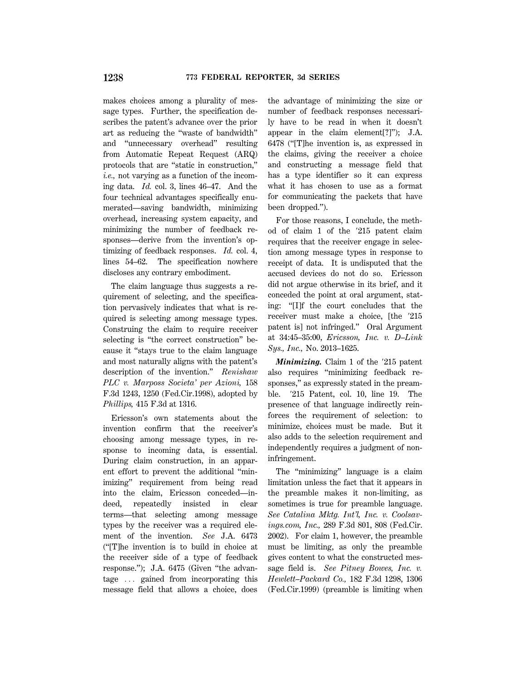makes choices among a plurality of message types. Further, the specification describes the patent's advance over the prior art as reducing the ''waste of bandwidth'' and ''unnecessary overhead'' resulting from Automatic Repeat Request (ARQ) protocols that are ''static in construction,'' *i.e.,* not varying as a function of the incoming data. *Id.* col. 3, lines 46–47. And the four technical advantages specifically enumerated—saving bandwidth, minimizing overhead, increasing system capacity, and minimizing the number of feedback responses—derive from the invention's optimizing of feedback responses. *Id.* col. 4, lines 54–62. The specification nowhere discloses any contrary embodiment.

The claim language thus suggests a requirement of selecting, and the specification pervasively indicates that what is required is selecting among message types. Construing the claim to require receiver selecting is "the correct construction" because it ''stays true to the claim language and most naturally aligns with the patent's description of the invention.'' *Renishaw PLC v. Marposs Societa' per Azioni,* 158 F.3d 1243, 1250 (Fed.Cir.1998), adopted by *Phillips,* 415 F.3d at 1316.

Ericsson's own statements about the invention confirm that the receiver's choosing among message types, in response to incoming data, is essential. During claim construction, in an apparent effort to prevent the additional ''minimizing'' requirement from being read into the claim, Ericsson conceded—indeed, repeatedly insisted in clear terms—that selecting among message types by the receiver was a required element of the invention. *See* J.A. 6473 (''[T]he invention is to build in choice at the receiver side of a type of feedback response.''); J.A. 6475 (Given ''the advantage  $\ldots$  gained from incorporating this message field that allows a choice, does the advantage of minimizing the size or number of feedback responses necessarily have to be read in when it doesn't appear in the claim element[?]''); J.A. 6478 (''[T]he invention is, as expressed in the claims, giving the receiver a choice and constructing a message field that has a type identifier so it can express what it has chosen to use as a format for communicating the packets that have been dropped.'').

For those reasons, I conclude, the method of claim 1 of the '215 patent claim requires that the receiver engage in selection among message types in response to receipt of data. It is undisputed that the accused devices do not do so. Ericsson did not argue otherwise in its brief, and it conceded the point at oral argument, stating: ''[I]f the court concludes that the receiver must make a choice, [the '215 patent is] not infringed.'' Oral Argument at 34:45–35:00, *Ericsson, Inc. v. D–Link Sys., Inc.,* No. 2013–1625.

*Minimizing.* Claim 1 of the '215 patent also requires ''minimizing feedback responses," as expressly stated in the preamble.  $'215$  Patent, col. 10, line 19. The presence of that language indirectly reinforces the requirement of selection: to minimize, choices must be made. But it also adds to the selection requirement and independently requires a judgment of noninfringement.

The ''minimizing'' language is a claim limitation unless the fact that it appears in the preamble makes it non-limiting, as sometimes is true for preamble language. *See Catalina Mktg. Int'l, Inc. v. Coolsavings.com, Inc.,* 289 F.3d 801, 808 (Fed.Cir. 2002). For claim 1, however, the preamble must be limiting, as only the preamble gives content to what the constructed message field is. *See Pitney Bowes, Inc. v. Hewlett–Packard Co.,* 182 F.3d 1298, 1306 (Fed.Cir.1999) (preamble is limiting when